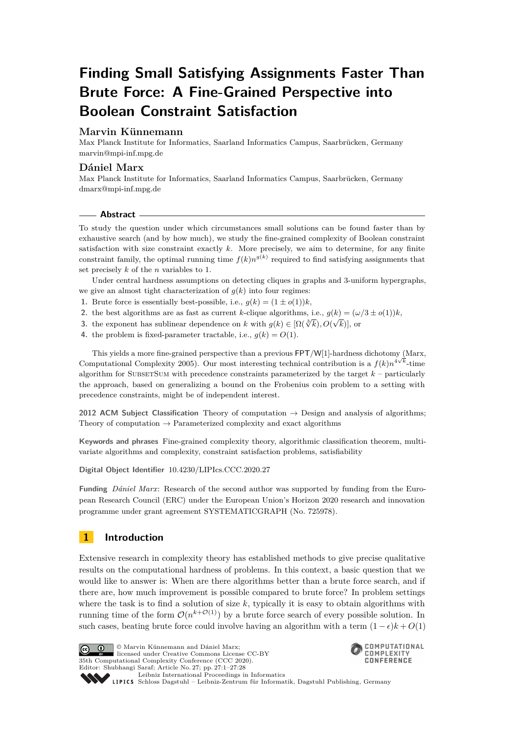# **Finding Small Satisfying Assignments Faster Than Brute Force: A Fine-Grained Perspective into Boolean Constraint Satisfaction**

## **Marvin Künnemann**

Max Planck Institute for Informatics, Saarland Informatics Campus, Saarbrücken, Germany [marvin@mpi-inf.mpg.de](mailto:marvin@mpi-inf.mpg.de)

## **Dániel Marx**

Max Planck Institute for Informatics, Saarland Informatics Campus, Saarbrücken, Germany [dmarx@mpi-inf.mpg.de](mailto:dmarx@mpi-inf.mpg.de)

### **Abstract**

To study the question under which circumstances small solutions can be found faster than by exhaustive search (and by how much), we study the fine-grained complexity of Boolean constraint satisfaction with size constraint exactly *k*. More precisely, we aim to determine, for any finite constraint family, the optimal running time  $f(k)n^{g(k)}$  required to find satisfying assignments that set precisely *k* of the *n* variables to 1.

Under central hardness assumptions on detecting cliques in graphs and 3-uniform hypergraphs, we give an almost tight characterization of  $g(k)$  into four regimes:

- **1.** Brute force is essentially best-possible, i.e.,  $g(k) = (1 \pm o(1))k$ ,
- 2. the best algorithms are as fast as current *k*-clique algorithms, i.e.,  $g(k) = (\omega/3 \pm o(1))k$ ,
- **3.** the exponent has sublinear dependence on *k* with  $g(k) \in [\Omega(\sqrt[3]{k}), O(\sqrt{k})]$ , or
- **4.** the problem is fixed-parameter tractable, i.e.,  $q(k) = O(1)$ .

This yields a more fine-grained perspective than a previous  $\mathsf{FPT}/\mathsf{W}[1]\text{-hardness}$  dichotomy (Marx, Computational Complexity 2005). Our most interesting technical contribution is a  $f(k)n^{4\sqrt{k}}$ -time algorithm for SUBSETSUM with precedence constraints parameterized by the target  $k$  – particularly the approach, based on generalizing a bound on the Frobenius coin problem to a setting with precedence constraints, might be of independent interest.

**2012 ACM Subject Classification** Theory of computation  $\rightarrow$  Design and analysis of algorithms; Theory of computation  $\rightarrow$  Parameterized complexity and exact algorithms

**Keywords and phrases** Fine-grained complexity theory, algorithmic classification theorem, multivariate algorithms and complexity, constraint satisfaction problems, satisfiability

**Digital Object Identifier** [10.4230/LIPIcs.CCC.2020.27](https://doi.org/10.4230/LIPIcs.CCC.2020.27)

**Funding** *Dániel Marx*: Research of the second author was supported by funding from the European Research Council (ERC) under the European Union's Horizon 2020 research and innovation programme under grant agreement SYSTEMATICGRAPH (No. 725978).

## **1 Introduction**

Extensive research in complexity theory has established methods to give precise qualitative results on the computational hardness of problems. In this context, a basic question that we would like to answer is: When are there algorithms better than a brute force search, and if there are, how much improvement is possible compared to brute force? In problem settings where the task is to find a solution of size  $k$ , typically it is easy to obtain algorithms with running time of the form  $\mathcal{O}(n^{k+\mathcal{O}(1)})$  by a brute force search of every possible solution. In such cases, beating brute force could involve having an algorithm with a term  $(1 - \epsilon)k + O(1)$ 



© Marvin Künnemann and Dániel Marx; licensed under Creative Commons License CC-BY 35th Computational Complexity Conference (CCC 2020). Editor: Shubhangi Saraf; Article No. 27; pp. 27:1–27[:28](#page-27-0) [Leibniz International Proceedings in Informatics](https://www.dagstuhl.de/lipics/)



[Schloss Dagstuhl – Leibniz-Zentrum für Informatik, Dagstuhl Publishing, Germany](https://www.dagstuhl.de)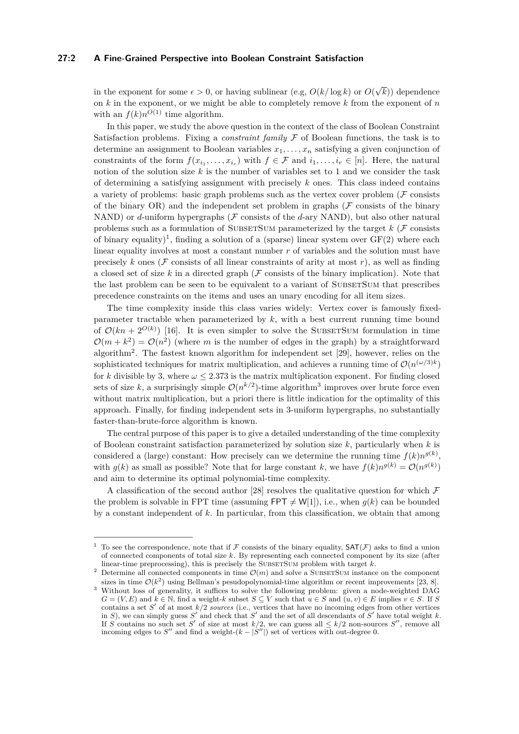## **27:2 A Fine-Grained Perspective into Boolean Constraint Satisfaction**

in the exponent for some  $\epsilon > 0$ , or having sublinear (e.g,  $O(k/\log k)$  or  $O(k)$ √ *k*)) dependence on *k* in the exponent, or we might be able to completely remove *k* from the exponent of *n* with an  $f(k)n^{O(1)}$  time algorithm.

In this paper, we study the above question in the context of the class of Boolean Constraint Satisfaction problems. Fixing a *constraint family* F of Boolean functions, the task is to determine an assignment to Boolean variables  $x_1, \ldots, x_n$  satisfying a given conjunction of constraints of the form  $f(x_{i_1},...,x_{i_r})$  with  $f \in \mathcal{F}$  and  $i_1,...,i_r \in [n]$ . Here, the natural notion of the solution size *k* is the number of variables set to 1 and we consider the task of determining a satisfying assignment with precisely *k* ones. This class indeed contains a variety of problems: basic graph problems such as the vertex cover problem ( $\mathcal F$  consists of the binary  $OR$ ) and the independent set problem in graphs ( $\mathcal F$  consists of the binary NAND) or *d*-uniform hypergraphs ( $\mathcal F$  consists of the *d*-ary NAND), but also other natural problems such as a formulation of SUBSETSUM parameterized by the target  $k$  ( $\mathcal F$  consists of binary equality)<sup>[1](#page-1-0)</sup>, finding a solution of a (sparse) linear system over  $GF(2)$  where each linear equality involves at most a constant number *r* of variables and the solution must have precisely  $k$  ones ( $\mathcal F$  consists of all linear constraints of arity at most  $r$ ), as well as finding a closed set of size  $k$  in a directed graph ( $\mathcal F$  consists of the binary implication). Note that the last problem can be seen to be equivalent to a variant of SUBSETSUM that prescribes precedence constraints on the items and uses an unary encoding for all item sizes.

The time complexity inside this class varies widely: Vertex cover is famously fixedparameter tractable when parameterized by  $k$ , with a best current running time bound of  $\mathcal{O}(kn + 2^{\mathcal{O}(k)})$  [\[16\]](#page-26-0). It is even simpler to solve the SUBSETSUM formulation in time  $\mathcal{O}(m+k^2) = \mathcal{O}(n^2)$  (where *m* is the number of edges in the graph) by a straightforward algorithm[2](#page-1-1) . The fastest known algorithm for independent set [\[29\]](#page-26-1), however, relies on the sophisticated techniques for matrix multiplication, and achieves a running time of  $\mathcal{O}(n^{(\omega/3)k})$ for *k* divisible by 3, where  $\omega \leq 2.373$  is the matrix multiplication exponent. For finding closed sets of size k, a surprisingly simple  $\mathcal{O}(n^{k/2})$ -time algorithm<sup>[3](#page-1-2)</sup> improves over brute force even without matrix multiplication, but a priori there is little indication for the optimality of this approach. Finally, for finding independent sets in 3-uniform hypergraphs, no substantially faster-than-brute-force algorithm is known.

The central purpose of this paper is to give a detailed understanding of the time complexity of Boolean constraint satisfaction parameterized by solution size *k*, particularly when *k* is considered a (large) constant: How precisely can we determine the running time  $f(k)n^{g(k)}$ , with  $g(k)$  as small as possible? Note that for large constant *k*, we have  $f(k)n^{g(k)} = \mathcal{O}(n^{g(k)})$ and aim to determine its optimal polynomial-time complexity.

A classification of the second author [\[28\]](#page-26-2) resolves the qualitative question for which  $\mathcal F$ the problem is solvable in FPT time (assuming FPT  $\neq W[1]$ ), i.e., when  $q(k)$  can be bounded by a constant independent of *k*. In particular, from this classification, we obtain that among

<span id="page-1-0"></span><sup>&</sup>lt;sup>1</sup> To see the correspondence, note that if F consists of the binary equality,  $SAT(\mathcal{F})$  asks to find a union of connected components of total size *k*. By representing each connected component by its size (after linear-time preprocessing), this is precisely the SUBSETSUM problem with target  $k$ .

<span id="page-1-1"></span><sup>&</sup>lt;sup>2</sup> Determine all connected components in time  $\mathcal{O}(m)$  and solve a SUBSETSUM instance on the component sizes in time  $\mathcal{O}(k^2)$  using Bellman's pesudopolynomial-time algorithm or recent improvements [\[23,](#page-26-3) [8\]](#page-25-0).

<span id="page-1-2"></span><sup>&</sup>lt;sup>3</sup> Without loss of generality, it suffices to solve the following problem: given a node-weighted DAG *G* =  $(V, E)$  and  $k ∈ \mathbb{N}$ , find a weight-*k* subset  $S ⊆ V$  such that  $u ∈ S$  and  $(u, v) ∈ E$  implies  $v ∈ S$ . If *S* contains a set  $S'$  of at most  $k/2$  *sources* (i.e., vertices that have no incoming edges from other vertices in *S*), we can simply guess *S'* and check that *S'* and the set of all descendants of *S'* have total weight *k*. If *S* contains no such set *S*<sup> $\prime$ </sup> of size at most  $k/2$ , we can guess all  $\leq k/2$  non-sources *S*<sup> $\prime\prime$ </sup>, remove all incoming edges to  $S''$  and find a weight- $(k - |S''|)$  set of vertices with out-degree 0.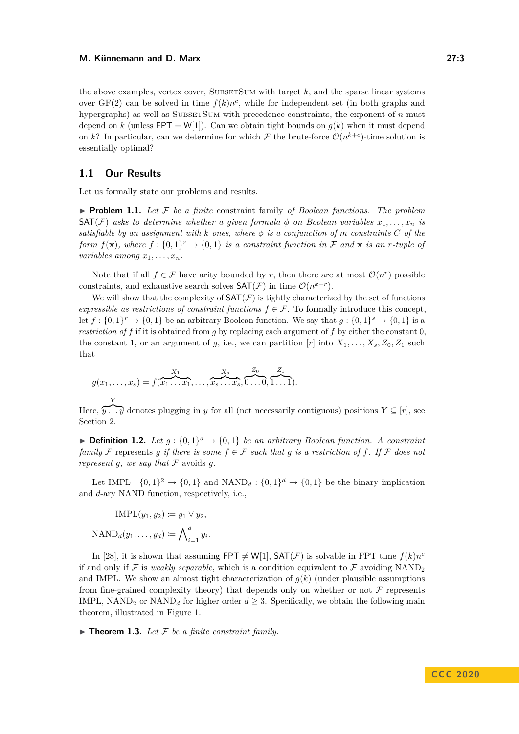the above examples, vertex cover, SUBSETSUM with target  $k$ , and the sparse linear systems over  $GF(2)$  can be solved in time  $f(k)n^c$ , while for independent set (in both graphs and hypergraphs) as well as SUBSETSUM with precedence constraints, the exponent of *n* must depend on *k* (unless  $FPT = W[1]$ ). Can we obtain tight bounds on  $g(k)$  when it must depend on k? In particular, can we determine for which  $\mathcal F$  the brute-force  $\mathcal O(n^{k+c})$ -time solution is essentially optimal?

## **1.1 Our Results**

*Y*

Let us formally state our problems and results.

I **Problem 1.1.** *Let* F *be a finite* constraint family *of Boolean functions. The problem*  $SAT(F)$  *asks to determine whether a given formula*  $\phi$  *on Boolean variables*  $x_1, \ldots, x_n$  *is satisfiable by an assignment with*  $k$  *ones, where*  $\phi$  *is a conjunction of*  $m$  *constraints*  $C$  *of the form*  $f(\mathbf{x})$ *, where*  $f : \{0,1\}^r \to \{0,1\}$  *is a constraint function in* F *and* **x** *is an r-tuple of variables among*  $x_1, \ldots, x_n$ .

Note that if all  $f \in \mathcal{F}$  have arity bounded by *r*, then there are at most  $\mathcal{O}(n^r)$  possible constraints, and exhaustive search solves  $\mathsf{SAT}(\mathcal{F})$  in time  $\mathcal{O}(n^{k+r})$ .

We will show that the complexity of  $\text{SAT}(\mathcal{F})$  is tightly characterized by the set of functions *expressible as restrictions of constraint functions*  $f \in \mathcal{F}$ . To formally introduce this concept, let  $f: \{0,1\}^r \to \{0,1\}$  be an arbitrary Boolean function. We say that  $g: \{0,1\}^s \to \{0,1\}$  is a *restriction of f* if it is obtained from *g* by replacing each argument of *f* by either the constant 0, the constant 1, or an argument of *g*, i.e., we can partition [*r*] into  $X_1, \ldots, X_s, Z_0, Z_1$  such that

$$
g(x_1,\ldots,x_s)=f(\overbrace{x_1\ldots x_1}^{X_1},\ldots,\overbrace{x_s\ldots x_s}^{X_s},\overbrace{0\ldots 0}^{Z_0},\overbrace{1\ldots 1}^{Z_1}).
$$

Here,  $\overline{y} \ldots \overline{y}$  denotes plugging in *y* for all (not necessarily contiguous) positions  $Y \subseteq [r]$ , see Section [2.](#page-7-0)

**Definition 1.2.** Let  $g : \{0,1\}^d \to \{0,1\}$  be an arbitrary Boolean function. A constraint *family* F represents *g if there is some*  $f \in \mathcal{F}$  *such that g is a restriction of*  $f$ *. If*  $\mathcal{F}$  *does not represent q, we say that*  $\mathcal F$  avoids *q.* 

Let IMPL :  $\{0,1\}^2 \to \{0,1\}$  and  $NAND_d : \{0,1\}^d \to \{0,1\}$  be the binary implication and *d*-ary NAND function, respectively, i.e.,

$$
IMPL(y_1, y_2) := \overline{y_1} \vee y_2,
$$

$$
NAND_d(y_1, \dots, y_d) := \overline{\bigwedge_{i=1}^d y_i}.
$$

In [\[28\]](#page-26-2), it is shown that assuming  $\text{FPT} \neq W[1]$ ,  $\text{SAT}(\mathcal{F})$  is solvable in FPT time  $f(k)n^c$ if and only if F is *weakly separable*, which is a condition equivalent to F avoiding  $NAND<sub>2</sub>$ and IMPL. We show an almost tight characterization of  $g(k)$  (under plausible assumptions from fine-grained complexity theory) that depends only on whether or not  $\mathcal F$  represents IMPL, NAND<sub>2</sub> or NAND<sub>d</sub> for higher order  $d \geq 3$ . Specifically, we obtain the following main theorem, illustrated in Figure [1.](#page-3-0)

 $\blacktriangleright$  **Theorem 1.3.** Let F be a finite constraint family.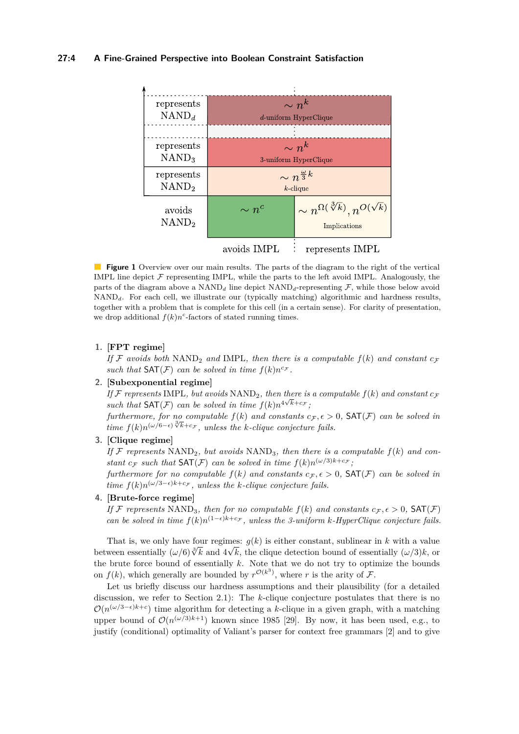## **27:4 A Fine-Grained Perspective into Boolean Constraint Satisfaction**

<span id="page-3-0"></span>

**Figure 1** Overview over our main results. The parts of the diagram to the right of the vertical IMPL line depict  $\mathcal F$  representing IMPL, while the parts to the left avoid IMPL. Analogously, the parts of the diagram above a  $NAND_d$  line depict  $NAND_d$ -representing  $\mathcal{F}$ , while those below avoid NAND*d*. For each cell, we illustrate our (typically matching) algorithmic and hardness results, together with a problem that is complete for this cell (in a certain sense). For clarity of presentation, we drop additional  $f(k)n^c$ -factors of stated running times.

## **1. [FPT regime]**

If F avoids both NAND<sub>2</sub> and IMPL, then there is a computable  $f(k)$  and constant  $c_F$ *such that*  $SAT(\mathcal{F})$  *can be solved in time*  $f(k)n^{c_{\mathcal{F}}}$ *.* 

### **2. [Subexponential regime]**

*If* F represents IMPL, but avoids  $NAND_2$ , then there is a computable  $f(k)$  and constant  $c_F$ such that  $\mathsf{SAT}(\mathcal{F})$  *can be solved in time*  $f(k)n^{4\sqrt{k}+c\mathcal{F}}$ ;

*furthermore, for no computable*  $f(k)$  *and constants*  $c_F$ ,  $\epsilon > 0$ ,  $SAT(F)$  *can be solved in time*  $f(k)n^{(\omega/6-\epsilon)}\sqrt[3]{k}+c$ <sup>F</sup>, unless the *k*-clique conjecture fails.

**3. [Clique regime]**

If F represents  $NAND_2$ , but avoids  $NAND_3$ , then there is a computable  $f(k)$  and con*stant*  $c_F$  *such that*  $\mathsf{SAT}(\mathcal{F})$  *can be solved in time*  $f(k)n^{(\omega/3)k+c_F}$ ;

*furthermore for no computable*  $f(k)$  and constants  $c_F$ ,  $\epsilon > 0$ , SAT(F) can be solved in *time*  $f(k)n^{(\omega/3-\epsilon)k+c_{\mathcal{F}}}$ , unless the *k*-clique conjecture fails.

## **4. [Brute-force regime]**

*If* F represents NAND<sub>3</sub>, then for no computable  $f(k)$  and constants  $c_{\mathcal{F}}, \epsilon > 0$ ,  $SAT(\mathcal{F})$ *can be solved in time*  $f(k)n^{(1-\epsilon)k+c_F}$ , unless the 3-uniform *k*-HyperClique conjecture fails.

That is, we only have four regimes:  $g(k)$  is either constant, sublinear in *k* with a value That is, we only have four regimes:  $g(\kappa)$  is either constant, submear in  $\kappa$  with a value between essentially  $(\omega/6)\sqrt[3]{k}$  and  $4\sqrt{k}$ , the clique detection bound of essentially  $(\omega/3)k$ , or the brute force bound of essentially *k*. Note that we do not try to optimize the bounds on  $f(k)$ , which generally are bounded by  $r^{\mathcal{O}(k^3)}$ , where r is the arity of F.

Let us briefly discuss our hardness assumptions and their plausibility (for a detailed discussion, we refer to Section [2.1\)](#page-8-0): The *k*-clique conjecture postulates that there is no  $\mathcal{O}(n^{(\omega/3-\epsilon)k+c})$  time algorithm for detecting a *k*-clique in a given graph, with a matching upper bound of  $\mathcal{O}(n^{(\omega/3)k+1})$  known since 1985 [\[29\]](#page-26-1). By now, it has been used, e.g., to justify (conditional) optimality of Valiant's parser for context free grammars [\[2\]](#page-25-1) and to give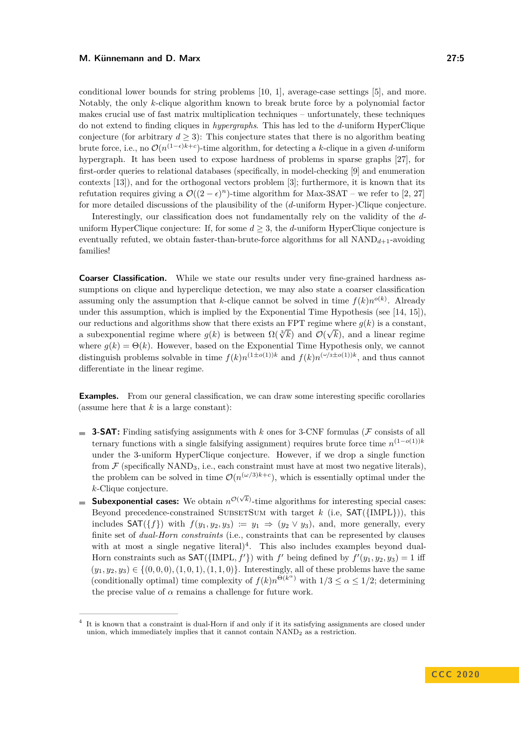conditional lower bounds for string problems [\[10,](#page-25-2) [1\]](#page-25-3), average-case settings [\[5\]](#page-25-4), and more. Notably, the only *k*-clique algorithm known to break brute force by a polynomial factor makes crucial use of fast matrix multiplication techniques – unfortunately, these techniques do not extend to finding cliques in *hypergraphs*. This has led to the *d*-uniform HyperClique conjecture (for arbitrary  $d \geq 3$ ): This conjecture states that there is no algorithm beating brute force, i.e., no  $\mathcal{O}(n^{(1-\epsilon)k+c})$ -time algorithm, for detecting a *k*-clique in a given *d*-uniform hypergraph. It has been used to expose hardness of problems in sparse graphs [\[27\]](#page-26-4), for first-order queries to relational databases (specifically, in model-checking [\[9\]](#page-25-5) and enumeration contexts [\[13\]](#page-26-5)), and for the orthogonal vectors problem [\[3\]](#page-25-6); furthermore, it is known that its refutation requires giving a  $\mathcal{O}((2 - \epsilon)^n)$ -time algorithm for Max-3SAT – we refer to [\[2,](#page-25-1) [27\]](#page-26-4) for more detailed discussions of the plausibility of the (*d*-uniform Hyper-)Clique conjecture.

Interestingly, our classification does not fundamentally rely on the validity of the *d*uniform HyperClique conjecture: If, for some  $d \geq 3$ , the *d*-uniform HyperClique conjecture is eventually refuted, we obtain faster-than-brute-force algorithms for all NAND*d*+1-avoiding families!

**Coarser Classification.** While we state our results under very fine-grained hardness assumptions on clique and hyperclique detection, we may also state a coarser classification assuming only the assumption that *k*-clique cannot be solved in time  $f(k)n^{o(k)}$ . Already under this assumption, which is implied by the Exponential Time Hypothesis (see [\[14,](#page-26-6) [15\]](#page-26-7)), our reductions and algorithms show that there exists an FPT regime where  $g(k)$  is a constant, but reductions and algorithms show that there exists an  $\mathbf{r} \cdot \mathbf{r}$  regime where  $g(\kappa)$  is a constant a subexponential regime where  $g(k)$  is between  $\Omega(\sqrt[k]{k})$  and  $\mathcal{O}(\sqrt{k})$ , and a linear regime where  $g(k) = \Theta(k)$ . However, based on the Exponential Time Hypothesis only, we cannot distinguish problems solvable in time  $f(k)n^{(1\pm o(1))k}$  and  $f(k)n^{(\omega/3\pm o(1))k}$ , and thus cannot differentiate in the linear regime.

**Examples.** From our general classification, we can draw some interesting specific corollaries (assume here that  $k$  is a large constant):

- **3-SAT:** Finding satisfying assignments with *k* ones for 3-CNF formulas ( $\mathcal F$  consists of all ternary functions with a single falsifying assignment) requires brute force time  $n^{(1-o(1))k}$ under the 3-uniform HyperClique conjecture. However, if we drop a single function from  $\mathcal F$  (specifically NAND<sub>3</sub>, i.e., each constraint must have at most two negative literals), the problem can be solved in time  $\mathcal{O}(n^{(\omega/3)k+c})$ , which is essentially optimal under the *k*-Clique conjecture.
- **Subexponential cases:** We obtain  $n^{\mathcal{O}(\sqrt{k})}$ -time algorithms for interesting special cases: Beyond precedence-constrained SUBSETSUM with target  $k$  (i.e,  $SAT({[MPL]}),$  this includes  $\text{SAT}(\{f\})$  with  $f(y_1, y_2, y_3) := y_1 \Rightarrow (y_2 \vee y_3)$ , and, more generally, every finite set of *dual-Horn constraints* (i.e., constraints that can be represented by clauses with at most a single negative literal $)^4$  $)^4$ . This also includes examples beyond dual-Horn constraints such as  $SAT({\text{IMPL}}, f')$  with *f*' being defined by  $f'(y_1, y_2, y_3) = 1$  iff  $(y_1, y_2, y_3) \in \{(0, 0, 0), (1, 0, 1), (1, 1, 0)\}.$  Interestingly, all of these problems have the same (conditionally optimal) time complexity of  $f(k)n^{\Theta(k^{\alpha})}$  with  $1/3 \leq \alpha \leq 1/2$ ; determining the precise value of  $\alpha$  remains a challenge for future work.

<span id="page-4-0"></span><sup>&</sup>lt;sup>4</sup> It is known that a constraint is dual-Horn if and only if it its satisfying assignments are closed under union, which immediately implies that it cannot contain  $NAND<sub>2</sub>$  as a restriction.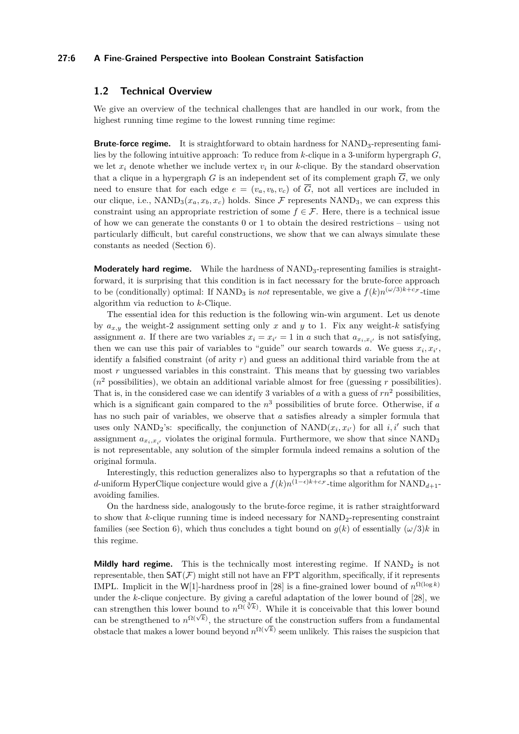## **27:6 A Fine-Grained Perspective into Boolean Constraint Satisfaction**

## **1.2 Technical Overview**

We give an overview of the technical challenges that are handled in our work, from the highest running time regime to the lowest running time regime:

**Brute-force regime.** It is straightforward to obtain hardness for NAND<sub>3</sub>-representing families by the following intuitive approach: To reduce from *k*-clique in a 3-uniform hypergraph *G*, we let  $x_i$  denote whether we include vertex  $v_i$  in our *k*-clique. By the standard observation that a clique in a hypergraph *G* is an independent set of its complement graph  $\overline{G}$ , we only need to ensure that for each edge  $e = (v_a, v_b, v_c)$  of  $\overline{G}$ , not all vertices are included in our clique, i.e.,  $NAND_3(x_a, x_b, x_c)$  holds. Since F represents  $NAND_3$ , we can express this constraint using an appropriate restriction of some  $f \in \mathcal{F}$ . Here, there is a technical issue of how we can generate the constants 0 or 1 to obtain the desired restrictions – using not particularly difficult, but careful constructions, we show that we can always simulate these constants as needed (Section [6\)](#page-18-0).

**Moderately hard regime.** While the hardness of NAND<sub>3</sub>-representing families is straightforward, it is surprising that this condition is in fact necessary for the brute-force approach to be (conditionally) optimal: If  $NAND<sub>3</sub>$  is *not* representable, we give a  $f(k)n^{(\omega/3)k+c_{\mathcal{F}}}\text{-time}$ algorithm via reduction to *k*-Clique.

The essential idea for this reduction is the following win-win argument. Let us denote by  $a_{x,y}$  the weight-2 assignment setting only x and y to 1. Fix any weight-k satisfying assignment *a*. If there are two variables  $x_i = x_{i'} = 1$  in *a* such that  $a_{x_i, x_{i'}}$  is not satisfying, then we can use this pair of variables to "guide" our search towards *a*. We guess  $x_i, x_{i'}$ , identify a falsified constraint (of arity *r*) and guess an additional third variable from the at most *r* unguessed variables in this constraint. This means that by guessing two variables  $(n^2$  possibilities), we obtain an additional variable almost for free (guessing *r* possibilities). That is, in the considered case we can identify 3 variables of *a* with a guess of  $rn^2$  possibilities, which is a significant gain compared to the *n* <sup>3</sup> possibilities of brute force. Otherwise, if *a* has no such pair of variables, we observe that *a* satisfies already a simpler formula that uses only NAND<sub>2</sub>'s: specifically, the conjunction of NAND $(x_i, x_{i'})$  for all *i, i'* such that assignment  $a_{x_i, x_{i'}}$  violates the original formula. Furthermore, we show that since  $NAND_3$ is not representable, any solution of the simpler formula indeed remains a solution of the original formula.

Interestingly, this reduction generalizes also to hypergraphs so that a refutation of the *d*-uniform HyperClique conjecture would give a  $f(k)n^{(1-\epsilon)k+c}$ -time algorithm for NAND<sub>*d*+1</sub>avoiding families.

On the hardness side, analogously to the brute-force regime, it is rather straightforward to show that *k*-clique running time is indeed necessary for  $NAND<sub>2</sub>$ -representing constraint families (see Section [6\)](#page-18-0), which thus concludes a tight bound on  $g(k)$  of essentially  $(\omega/3)k$  in this regime.

**Mildly hard regime.** This is the technically most interesting regime. If  $NAND<sub>2</sub>$  is not representable, then  $SAT(\mathcal{F})$  might still not have an FPT algorithm, specifically, if it represents IMPL. Implicit in the W[1]-hardness proof in [\[28\]](#page-26-2) is a fine-grained lower bound of  $n^{\Omega(\log k)}$ under the *k*-clique conjecture. By giving a careful adaptation of the lower bound of [\[28\]](#page-26-2), we can strengthen this lower bound to  $n^{\Omega(\sqrt[3]{k})}$ . While it is conceivable that this lower bound can be strengthened to  $n^{\Omega(\sqrt{k})}$ , the structure of the construction suffers from a fundamental obstacle that makes a lower bound beyond  $n^{\Omega(\sqrt{k})}$  seem unlikely. This raises the suspicion that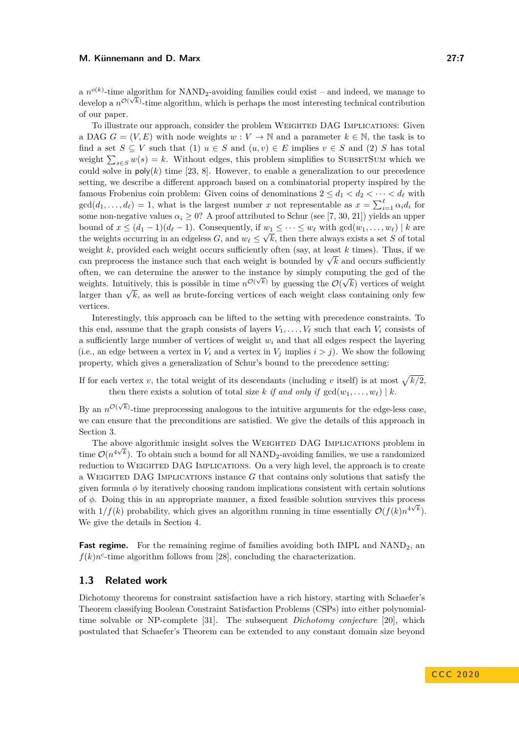a  $n^{o(k)}$ -time algorithm for NAND<sub>2</sub>-avoiding families could exist – and indeed, we manage to develop a  $n^{\mathcal{O}(\sqrt{k})}$ -time algorithm, which is perhaps the most interesting technical contribution of our paper.

To illustrate our approach, consider the problem WEIGHTED DAG IMPLICATIONS: Given a DAG  $G = (V, E)$  with node weights  $w : V \to \mathbb{N}$  and a parameter  $k \in \mathbb{N}$ , the task is to find a set  $S \subseteq V$  such that (1)  $u \in S$  and  $(u, v) \in E$  implies  $v \in S$  and (2) *S* has total weight  $\sum_{s \in S} w(s) = k$ . Without edges, this problem simplifies to SUBSETSUM which we could solve in  $poly(k)$  time [\[23,](#page-26-3) [8\]](#page-25-0). However, to enable a generalization to our precedence setting, we describe a different approach based on a combinatorial property inspired by the famous Frobenius coin problem: Given coins of denominations  $2 \leq d_1 < d_2 < \cdots < d_\ell$  with  $gcd(d_1, \ldots, d_\ell) = 1$ , what is the largest number *x* not representable as  $x = \sum_{i=1}^{\ell} \alpha_i d_i$  for some non-negative values  $\alpha_i \geq 0$ ? A proof attributed to Schur (see [\[7,](#page-25-7) [30,](#page-26-8) [21\]](#page-26-9)) yields an upper bound of  $x \leq (d_1 - 1)(d_\ell - 1)$ . Consequently, if  $w_1 \leq \cdots \leq w_\ell$  with  $gcd(w_1, \ldots, w_\ell) \mid k$  are the weights occurring in an edgeless *G*, and  $w_{\ell} \leq \sqrt{k}$ , then there always exists a set *S* of total weight  $k$ , provided each weight occurs sufficiently often (say, at least  $k$  times). Thus, if we weight  $\kappa$ , provided each weight occurs sufficiently often (say, at least  $\kappa$  times). Thus, if we can preprocess the instance such that each weight is bounded by  $\sqrt{k}$  and occurs sufficiently often, we can determine the answer to the instance by simply computing the gcd of the weights. Intuitively, this is possible in time  $n^{\mathcal{O}(\sqrt{k})}$  by guessing the  $\mathcal{O}(\sqrt{k})$  vertices of weight larger than  $\sqrt{k}$ , as well as brute-forcing vertices of each weight class containing only few vertices.

Interestingly, this approach can be lifted to the setting with precedence constraints. To this end, assume that the graph consists of layers  $V_1, \ldots, V_\ell$  such that each  $V_i$  consists of a sufficiently large number of vertices of weight *w<sup>i</sup>* and that all edges respect the layering (i.e., an edge between a vertex in  $V_i$  and a vertex in  $V_j$  implies  $i > j$ ). We show the following property, which gives a generalization of Schur's bound to the precedence setting:

If for each vertex *v*, the total weight of its descendants (including *v* itself) is at most  $\sqrt{k/2}$ , then there exists a solution of total size *k if and only if*  $gcd(w_1, \ldots, w_\ell) \mid k$ .

By an  $n^{\mathcal{O}(\sqrt{k})}$ -time preprocessing analogous to the intuitive arguments for the edge-less case, we can ensure that the preconditions are satisfied. We give the details of this approach in Section [3.](#page-9-0)

The above algorithmic insight solves the WEIGHTED DAG IMPLICATIONS problem in time  $\mathcal{O}(n^{4\sqrt{k}})$ . To obtain such a bound for all NAND<sub>2</sub>-avoiding families, we use a randomized reduction to WEIGHTED DAG IMPLICATIONS. On a very high level, the approach is to create a Weighted DAG Implications instance *G* that contains only solutions that satisfy the given formula  $\phi$  by iteratively choosing random implications consistent with certain solutions of  $\phi$ . Doing this in an appropriate manner, a fixed feasible solution survives this process with  $1/f(k)$  probability, which gives an algorithm running in time essentially  $\mathcal{O}(f(k)n^{4\sqrt{k}})$ . We give the details in Section [4.](#page-12-0)

**Fast regime.** For the remaining regime of families avoiding both IMPL and NAND<sub>2</sub>, an  $f(k)n^c$ -time algorithm follows from [\[28\]](#page-26-2), concluding the characterization.

## **1.3 Related work**

Dichotomy theorems for constraint satisfaction have a rich history, starting with Schaefer's Theorem classifying Boolean Constraint Satisfaction Problems (CSPs) into either polynomialtime solvable or NP-complete [\[31\]](#page-26-10). The subsequent *Dichotomy conjecture* [\[20\]](#page-26-11), which postulated that Schaefer's Theorem can be extended to any constant domain size beyond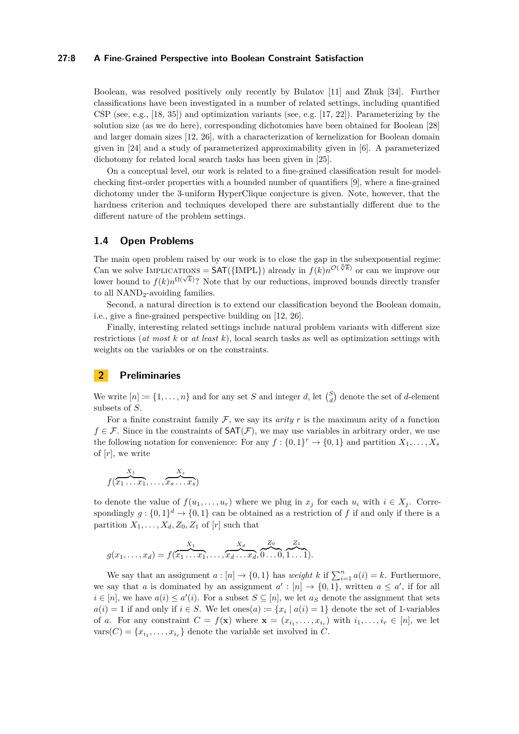## **27:8 A Fine-Grained Perspective into Boolean Constraint Satisfaction**

Boolean, was resolved positively only recently by Bulatov [\[11\]](#page-25-8) and Zhuk [\[34\]](#page-27-1). Further classifications have been investigated in a number of related settings, including quantified CSP (see, e.g.,  $[18, 35]$  $[18, 35]$  $[18, 35]$ ) and optimization variants (see, e.g.  $[17, 22]$  $[17, 22]$  $[17, 22]$ ). Parameterizing by the solution size (as we do here), corresponding dichotomies have been obtained for Boolean [\[28\]](#page-26-2) and larger domain sizes [\[12,](#page-26-15) [26\]](#page-26-16), with a characterization of kernelization for Boolean domain given in [\[24\]](#page-26-17) and a study of parameterized approximability given in [\[6\]](#page-25-9). A parameterized dichotomy for related local search tasks has been given in [\[25\]](#page-26-18).

On a conceptual level, our work is related to a fine-grained classification result for modelchecking first-order properties with a bounded number of quantifiers [\[9\]](#page-25-5), where a fine-grained dichotomy under the 3-uniform HyperClique conjecture is given. Note, however, that the hardness criterion and techniques developed there are substantially different due to the different nature of the problem settings.

## **1.4 Open Problems**

The main open problem raised by our work is to close the gap in the subexponential regime: The main open problem raised by our work is to close the gap in the subexponential regime.<br>Can we solve IMPLICATIONS =  $SAT({\{IMPL\}})$  already in  $f(k)n^{\mathcal{O}(\sqrt[3]{k})}$  or can we improve our Lower bound to  $f(k)n^{\Omega(\sqrt{k})}$ ? Note that by our reductions, improved bounds directly transfer to all  $NAND<sub>2</sub>$ -avoiding families.

Second, a natural direction is to extend our classification beyond the Boolean domain, i.e., give a fine-grained perspective building on [\[12,](#page-26-15) [26\]](#page-26-16).

Finally, interesting related settings include natural problem variants with different size restrictions (*at most k* or *at least k*), local search tasks as well as optimization settings with weights on the variables or on the constraints.

## <span id="page-7-0"></span>**2 Preliminaries**

We write  $[n] := \{1, \ldots, n\}$  and for any set *S* and integer *d*, let  $\binom{S}{d}$  denote the set of *d*-element subsets of *S*.

For a finite constraint family  $\mathcal{F}$ , we say its *arity*  $r$  is the maximum arity of a function  $f \in \mathcal{F}$ . Since in the constraints of  $SAT(\mathcal{F})$ , we may use variables in arbitrary order, we use the following notation for convenience: For any  $f: \{0,1\}^r \to \{0,1\}$  and partition  $X_1, \ldots, X_s$ of [*r*], we write

$$
f(\overbrace{x_1 \ldots x_1}^{X_1}, \ldots, \overbrace{x_s \ldots x_s}^{X_s})
$$

to denote the value of  $f(u_1, \ldots, u_r)$  where we plug in  $x_j$  for each  $u_i$  with  $i \in X_j$ . Correspondingly  $g: \{0,1\}^d \to \{0,1\}$  can be obtained as a restriction of f if and only if there is a partition  $X_1, \ldots, X_d, Z_0, Z_1$  of  $[r]$  such that

$$
g(x_1,\ldots,x_d)=f(\overbrace{x_1\ldots x_1}^{X_1},\ldots,\overbrace{x_d\ldots x_d}^{X_d},\overbrace{0\ldots 0}^{Z_0},\overbrace{1\ldots 1}^{Z_1}).
$$

We say that an assignment  $a : [n] \to \{0, 1\}$  has *weight*  $k$  if  $\sum_{i=1}^{n} a(i) = k$ . Furthermore, we say that *a* is dominated by an assignment  $a' : [n] \to \{0,1\}$ , written  $a \leq a'$ , if for all  $i \in [n]$ , we have  $a(i) \leq a'(i)$ . For a subset  $S \subseteq [n]$ , we let  $a_S$  denote the assignment that sets  $a(i) = 1$  if and only if  $i \in S$ . We let ones $(a) := \{x_i \mid a(i) = 1\}$  denote the set of 1-variables of *a*. For any constraint  $C = f(\mathbf{x})$  where  $\mathbf{x} = (x_{i_1}, \dots, x_{i_r})$  with  $i_1, \dots, i_r \in [n]$ , we let  $vars(C) = \{x_{i_1}, \ldots, x_{i_r}\}\$ denote the variable set involved in *C*.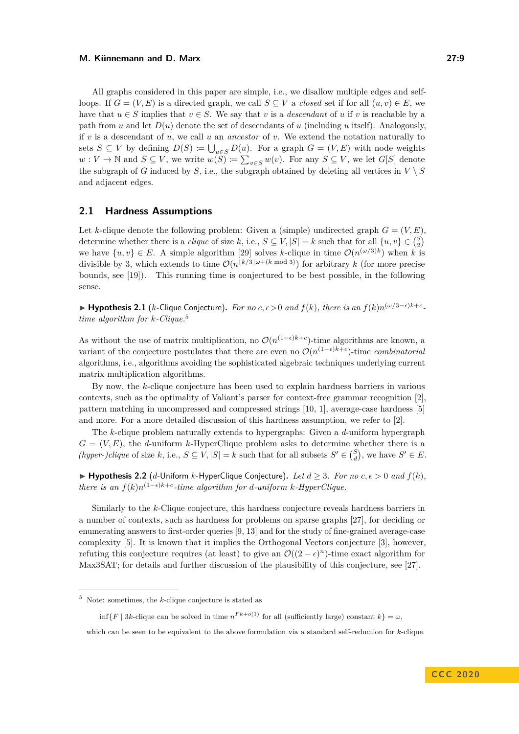All graphs considered in this paper are simple, i.e., we disallow multiple edges and selfloops. If  $G = (V, E)$  is a directed graph, we call  $S \subseteq V$  a *closed* set if for all  $(u, v) \in E$ , we have that  $u \in S$  implies that  $v \in S$ . We say that *v* is a *descendant* of *u* if *v* is reachable by a path from *u* and let  $D(u)$  denote the set of descendants of *u* (including *u* itself). Analogously, if *v* is a descendant of *u*, we call *u* an *ancestor* of *v*. We extend the notation naturally to sets  $S \subseteq V$  by defining  $D(S) := \bigcup_{u \in S} D(u)$ . For a graph  $G = (V, E)$  with node weights  $w: V \to \mathbb{N}$  and  $S \subseteq V$ , we write  $w(S) := \sum_{v \in S} w(v)$ . For any  $S \subseteq V$ , we let  $G[S]$  denote the subgraph of *G* induced by *S*, i.e., the subgraph obtained by deleting all vertices in  $V \setminus S$ and adjacent edges.

### <span id="page-8-0"></span>**2.1 Hardness Assumptions**

Let *k*-clique denote the following problem: Given a (simple) undirected graph  $G = (V, E)$ , determine whether there is a *clique* of size *k*, i.e.,  $S \subseteq V, |S| = k$  such that for all  $\{u, v\} \in {S \choose 2}$ we have  $\{u, v\} \in E$ . A simple algorithm [\[29\]](#page-26-1) solves *k*-clique in time  $\mathcal{O}(n^{(\omega/3)k})$  when *k* is divisible by 3, which extends to time  $\mathcal{O}(n^{\lfloor k/3 \rfloor \omega + (k \mod 3)})$  for arbitrary *k* (for more precise bounds, see [\[19\]](#page-26-19)). This running time is conjectured to be best possible, in the following sense.

► **Hypothesis 2.1** (*k*-Clique Conjecture). For no  $c, \epsilon > 0$  and  $f(k)$ , there is an  $f(k)n^{(\omega/3 - \epsilon)k + c}$ . *time algorithm for k-Clique.*[5](#page-8-1)

As without the use of matrix multiplication, no  $\mathcal{O}(n^{(1-\epsilon)k+c})$ -time algorithms are known, a variant of the conjecture postulates that there are even no  $\mathcal{O}(n^{(1-\epsilon)k+c})$ -time *combinatorial* algorithms, i.e., algorithms avoiding the sophisticated algebraic techniques underlying current matrix multiplication algorithms.

By now, the *k*-clique conjecture has been used to explain hardness barriers in various contexts, such as the optimality of Valiant's parser for context-free grammar recognition [\[2\]](#page-25-1), pattern matching in uncompressed and compressed strings [\[10,](#page-25-2) [1\]](#page-25-3), average-case hardness [\[5\]](#page-25-4) and more. For a more detailed discussion of this hardness assumption, we refer to [\[2\]](#page-25-1).

The *k*-clique problem naturally extends to hypergraphs: Given a *d*-uniform hypergraph  $G = (V, E)$ , the *d*-uniform *k*-HyperClique problem asks to determine whether there is a *(hyper-)clique* of size *k*, i.e.,  $S \subseteq V, |S| = k$  such that for all subsets  $S' \in \binom{S}{d}$ , we have  $S' \in E$ .

▶ **Hypothesis 2.2** (*d*-Uniform *k*-HyperClique Conjecture). Let  $d \geq 3$ . For no c,  $\epsilon > 0$  and  $f(k)$ , *there is an*  $f(k)n^{(1-\epsilon)k+c}$ -time algorithm for *d*-uniform *k*-HyperClique.

Similarly to the *k*-Clique conjecture, this hardness conjecture reveals hardness barriers in a number of contexts, such as hardness for problems on sparse graphs [\[27\]](#page-26-4), for deciding or enumerating answers to first-order queries [\[9,](#page-25-5) [13\]](#page-26-5) and for the study of fine-grained average-case complexity [\[5\]](#page-25-4). It is known that it implies the Orthogonal Vectors conjecture [\[3\]](#page-25-6), however, refuting this conjecture requires (at least) to give an  $\mathcal{O}((2-\epsilon)^n)$ -time exact algorithm for Max3SAT; for details and further discussion of the plausibility of this conjecture, see [\[27\]](#page-26-4).

<span id="page-8-1"></span><sup>5</sup> Note: sometimes, the *k*-clique conjecture is stated as

 $\inf\{F \mid 3k\text{-clique can be solved in time } n^{Fk+o(1)} \text{ for all (sufficiently large) constant } k\} = \omega,$ 

which can be seen to be equivalent to the above formulation via a standard self-reduction for *k*-clique.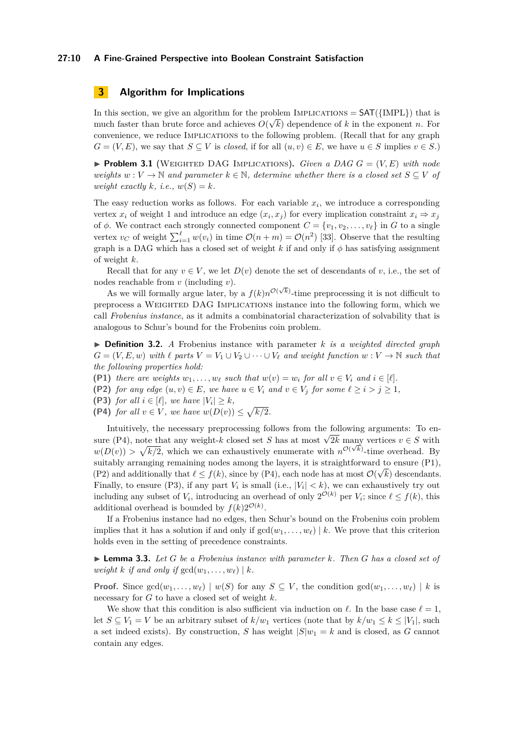### **27:10 A Fine-Grained Perspective into Boolean Constraint Satisfaction**

## <span id="page-9-0"></span>**3 Algorithm for Implications**

In this section, we give an algorithm for the problem IMPLICATIONS =  $SAT({\{IMPL}\})$  that is much faster than brute force and achieves  $O(\sqrt{k})$  dependence of k in the exponent n. For convenience, we reduce Implications to the following problem. (Recall that for any graph  $G = (V, E)$ , we say that  $S \subseteq V$  is *closed*, if for all  $(u, v) \in E$ , we have  $u \in S$  implies  $v \in S$ .)

 $\triangleright$  **Problem 3.1** (WEIGHTED DAG IMPLICATIONS). *Given a DAG*  $G = (V, E)$  *with node weights*  $w: V \to \mathbb{N}$  *and parameter*  $k \in \mathbb{N}$ *, determine whether there is a closed set*  $S \subseteq V$  *of weight exactly*  $k$ *, i.e.,*  $w(S) = k$ *.* 

The easy reduction works as follows. For each variable  $x_i$ , we introduce a corresponding vertex  $x_i$  of weight 1 and introduce an edge  $(x_i, x_j)$  for every implication constraint  $x_i \Rightarrow x_j$ of  $\phi$ . We contract each strongly connected component  $C = \{v_1, v_2, \ldots, v_\ell\}$  in *G* to a single vertex  $v_C$  of weight  $\sum_{i=1}^{\ell} w(v_i)$  in time  $\mathcal{O}(n+m) = \mathcal{O}(n^2)$  [\[33\]](#page-27-3). Observe that the resulting graph is a DAG which has a closed set of weight  $k$  if and only if  $\phi$  has satisfying assignment of weight *k*.

Recall that for any  $v \in V$ , we let  $D(v)$  denote the set of descendants of *v*, i.e., the set of nodes reachable from *v* (including *v*).

As we will formally argue later, by a  $f(k)n^{\mathcal{O}(\sqrt{k})}$ -time preprocessing it is not difficult to preprocess a Weighted DAG Implications instance into the following form, which we call *Frobenius instance*, as it admits a combinatorial characterization of solvability that is analogous to Schur's bound for the Frobenius coin problem.

 $\triangleright$  **Definition 3.2.** *A* Frobenius instance with parameter *k is a weighted directed graph*  $G = (V, E, w)$  *with*  $\ell$  *parts*  $V = V_1 \cup V_2 \cup \cdots \cup V_\ell$  *and weight function*  $w: V \to \mathbb{N}$  *such that the following properties hold:*

<span id="page-9-2"></span>**(P1)** there are weights  $w_1, \ldots, w_\ell$  such that  $w(v) = w_i$  for all  $v \in V_i$  and  $i \in [\ell]$ .

<span id="page-9-3"></span>**(P2)** *for any edge*  $(u, v) \in E$ *, we have*  $u \in V_i$  *and*  $v \in V_j$  *for some*  $\ell \geq i > j \geq 1$ *,* 

<span id="page-9-4"></span>**(P3)** *for all*  $i \in [\ell],$  *we have*  $|V_i| \geq k$ *,* 

<span id="page-9-1"></span>**(P4)** *for all*  $v \in V$ *, we have*  $w(D(v)) \leq \sqrt{k/2}$ *.* 

Intuitively, the necessary preprocessing follows from the following arguments: To en-Intuitively, the necessary preprocessing follows from the following arguments: To ensure ([P4\)](#page-9-1), note that any weight-*k* closed set *S* has at most  $\sqrt{2k}$  many vertices  $v \in S$  with  $w(D(v)) > \sqrt{k/2}$ , which we can exhaustively enumerate with  $n^{\mathcal{O}(\sqrt{k})}$ -time overhead. By suitably arranging remaining nodes among the layers, it is straightforward to ensure  $(P1)$  $(P1)$ , ([P2\)](#page-9-3) and additionally that  $\ell \leq f(k)$ , since by ([P4\)](#page-9-1), each node has at most  $\mathcal{O}(\sqrt{k})$  descendants. Finally, to ensure ([P3\)](#page-9-4), if any part  $V_i$  is small (i.e.,  $|V_i| < k$ ), we can exhaustively try out including any subset of  $V_i$ , introducing an overhead of only  $2^{\mathcal{O}(k)}$  per  $V_i$ ; since  $\ell \leq f(k)$ , this additional overhead is bounded by  $f(k)2^{\mathcal{O}(k)}$ .

If a Frobenius instance had no edges, then Schur's bound on the Frobenius coin problem implies that it has a solution if and only if  $gcd(w_1, \ldots, w_\ell) \mid k$ . We prove that this criterion holds even in the setting of precedence constraints.

<span id="page-9-5"></span>I **Lemma 3.3.** *Let G be a Frobenius instance with parameter k. Then G has a closed set of weight k if and only if*  $gcd(w_1, \ldots, w_\ell) \mid k$ *.* 

**Proof.** Since  $gcd(w_1, \ldots, w_\ell) \mid w(S)$  for any  $S \subseteq V$ , the condition  $gcd(w_1, \ldots, w_\ell) \mid k$  is necessary for *G* to have a closed set of weight *k*.

We show that this condition is also sufficient via induction on  $\ell$ . In the base case  $\ell = 1$ , let  $S \subseteq V_1 = V$  be an arbitrary subset of  $k/w_1$  vertices (note that by  $k/w_1 \leq k \leq |V_1|$ , such a set indeed exists). By construction, *S* has weight  $|S|w_1 = k$  and is closed, as *G* cannot contain any edges.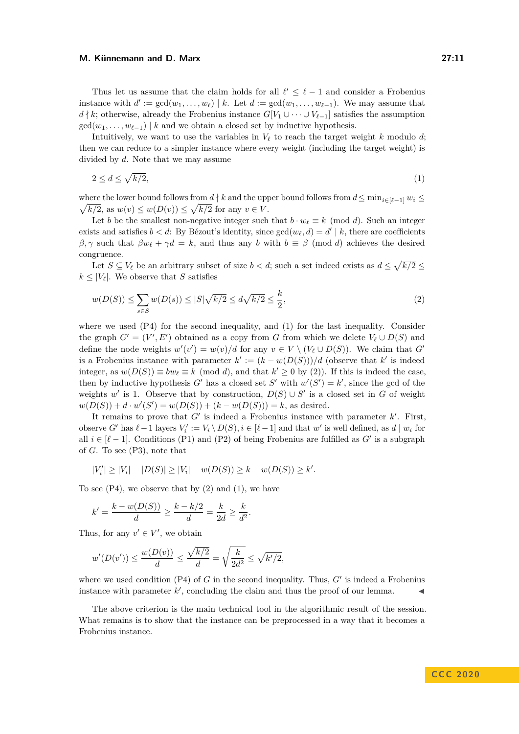Thus let us assume that the claim holds for all  $\ell' \leq \ell - 1$  and consider a Frobenius instance with  $d' := \gcd(w_1, \ldots, w_\ell) \mid k$ . Let  $d := \gcd(w_1, \ldots, w_{\ell-1})$ . We may assume that  $d \nmid k$ ; otherwise, already the Frobenius instance  $G[V_1 \cup \cdots \cup V_{\ell-1}]$  satisfies the assumption  $gcd(w_1, \ldots, w_{\ell-1}) \mid k$  and we obtain a closed set by inductive hypothesis.

Intuitively, we want to use the variables in  $V_\ell$  to reach the target weight  $k$  modulo  $d$ ; then we can reduce to a simpler instance where every weight (including the target weight) is divided by *d*. Note that we may assume

<span id="page-10-0"></span>
$$
2 \le d \le \sqrt{k/2},\tag{1}
$$

where the lower bound follows from  $d \nmid k$  and the upper bound follows from  $d \leq \min_{i \in [\ell-1]} w_i \leq$  $\sqrt{k/2}$ , as  $w(v) \leq w(D(v)) \leq \sqrt{k/2}$  for any  $v \in V$ .

Let *b* be the smallest non-negative integer such that  $b \cdot w_\ell \equiv k \pmod{d}$ . Such an integer exists and satisfies  $b < d$ : By Bézout's identity, since  $gcd(w_\ell, d) = d' | k$ , there are coefficients *β*, *γ* such that  $βw_{\ell} + γd = k$ , and thus any *b* with  $b \equiv β \pmod{d}$  achieves the desired congruence.

Let  $S \subseteq V_\ell$  be an arbitrary subset of size  $b < d$ ; such a set indeed exists as  $d \leq \sqrt{k/2} \leq$  $k \leq |V_{\ell}|$ . We observe that *S* satisfies

<span id="page-10-1"></span>
$$
w(D(S)) \le \sum_{s \in S} w(D(s)) \le |S| \sqrt{k/2} \le d\sqrt{k/2} \le \frac{k}{2},\tag{2}
$$

where we used  $(P4)$  $(P4)$  for the second inequality, and  $(1)$  for the last inequality. Consider the graph  $G' = (V', E')$  obtained as a copy from *G* from which we delete  $V_\ell \cup D(S)$  and define the node weights  $w'(v') = w(v)/d$  for any  $v \in V \setminus (V_{\ell} \cup D(S))$ . We claim that *G*<sup>*'*</sup> is a Frobenius instance with parameter  $k' := (k - w(D(S)))/d$  (observe that  $k'$  is indeed integer, as  $w(D(S)) \equiv bw_{\ell} \equiv k \pmod{d}$ , and that  $k' \geq 0$  by [\(2\)](#page-10-1)). If this is indeed the case, then by inductive hypothesis *G*<sup> $\prime$ </sup> has a closed set *S*<sup> $\prime$ </sup> with  $w'(S') = k'$ , since the gcd of the weights w' is 1. Observe that by construction,  $D(S) \cup S'$  is a closed set in *G* of weight  $w(D(S)) + d \cdot w'(S') = w(D(S)) + (k - w(D(S))) = k$ , as desired.

It remains to prove that  $G'$  is indeed a Frobenius instance with parameter  $k'$ . First, observe *G*<sup> $\prime$ </sup> has  $\ell - 1$  layers  $V_i' := V_i \setminus D(S), i \in [\ell - 1]$  and that  $w'$  is well defined, as  $d | w_i$  for all  $i \in [\ell - 1]$ . Conditions ([P1\)](#page-9-2) and ([P2\)](#page-9-3) of being Frobenius are fulfilled as  $G'$  is a subgraph of *G*. To see ([P3\)](#page-9-4), note that

$$
|V_i'| \ge |V_i| - |D(S)| \ge |V_i| - w(D(S)) \ge k - w(D(S)) \ge k'.
$$

To see  $(P4)$  $(P4)$ , we observe that by  $(2)$  and  $(1)$ , we have

$$
k' = \frac{k - w(D(S))}{d} \ge \frac{k - k/2}{d} = \frac{k}{2d} \ge \frac{k}{d^2}.
$$

Thus, for any  $v' \in V'$ , we obtain

$$
w'(D(v')) \le \frac{w(D(v))}{d} \le \frac{\sqrt{k/2}}{d} = \sqrt{\frac{k}{2d^2}} \le \sqrt{k'/2},
$$

where we used condition  $(P4)$  $(P4)$  of *G* in the second inequality. Thus,  $G'$  is indeed a Frobenius instance with parameter  $k'$ , concluding the claim and thus the proof of our lemma.

<span id="page-10-2"></span>The above criterion is the main technical tool in the algorithmic result of the session. What remains is to show that the instance can be preprocessed in a way that it becomes a Frobenius instance.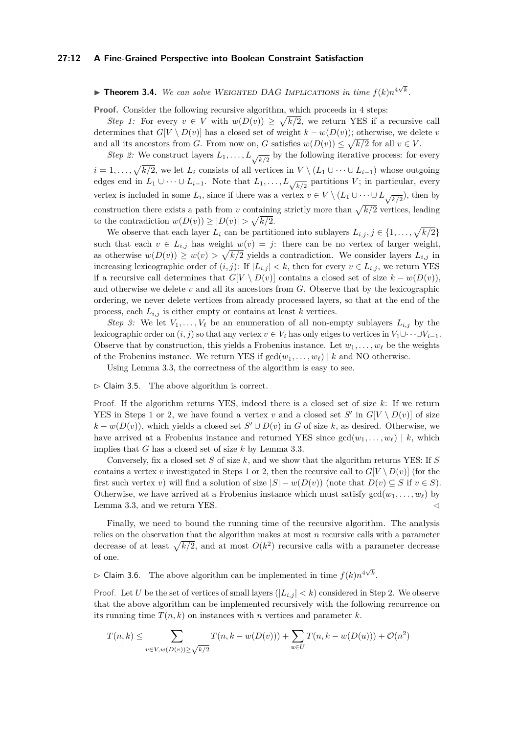### **27:12 A Fine-Grained Perspective into Boolean Constraint Satisfaction**

## ▶ Theorem 3.4. *We can solve* WEIGHTED DAG IMPLICATIONS in time  $f(k)n^{4\sqrt{k}}$ .

**Proof.** Consider the following recursive algorithm, which proceeds in 4 steps:

*Step 1:* For every  $v \in V$  with  $w(D(v)) \ge \sqrt{k/2}$ , we return YES if a recursive call determines that  $G[V \setminus D(v)]$  has a closed set of weight  $k - w(D(v))$ ; otherwise, we delete *v* and all its ancestors from *G*. From now on, *G* satisfies  $w(D(v)) \le \sqrt{k/2}$  for all  $v \in V$ .

*Step 2:* We construct layers  $L_1, \ldots, L_{\sqrt{k/2}}$  by the following iterative process: for every  $i = 1, \ldots, \sqrt{k/2}$ , we let  $L_i$  consists of all vertices in  $V \setminus (L_1 \cup \cdots \cup L_{i-1})$  whose outgoing edges end in  $L_1 \cup \cdots \cup L_{i-1}$ . Note that  $L_1, \ldots, L_{\sqrt{k/2}}$  partitions *V*; in particular, every vertex is included in some  $L_i$ , since if there was a vertex  $v \in V \setminus (L_1 \cup \cdots \cup L_{\sqrt{k/2}})$ , then by construction there exists a path from *v* containing strictly more than  $\sqrt{k/2}$  vertices, leading to the contradiction  $w(D(v)) \geq |D(v)| > \sqrt{k/2}$ .

We observe that each layer  $L_i$  can be partitioned into sublayers  $L_{i,j}$ ,  $j \in \{1, \ldots, \sqrt{k/2}\}$ such that each  $v \in L_{i,j}$  has weight  $w(v) = j$ : there can be no vertex of larger weight, as otherwise  $w(D(v)) \geq w(v) > \sqrt{k/2}$  yields a contradiction. We consider layers  $L_{i,j}$  in increasing lexicographic order of  $(i, j)$ : If  $|L_{i,j}| < k$ , then for every  $v \in L_{i,j}$ , we return YES if a recursive call determines that  $G[V \setminus D(v)]$  contains a closed set of size  $k - w(D(v))$ , and otherwise we delete *v* and all its ancestors from *G*. Observe that by the lexicographic ordering, we never delete vertices from already processed layers, so that at the end of the process, each  $L_{i,j}$  is either empty or contains at least *k* vertices.

*Step 3:* We let  $V_1, \ldots, V_\ell$  be an enumeration of all non-empty sublayers  $L_{i,j}$  by the lexicographic order on  $(i, j)$  so that any vertex  $v \in V_i$  has only edges to vertices in  $V_1 \cup \cdots \cup V_{i-1}$ . Observe that by construction, this yields a Frobenius instance. Let  $w_1, \ldots, w_\ell$  be the weights of the Frobenius instance. We return YES if  $gcd(w_1, \ldots, w_\ell) \mid k$  and NO otherwise.

Using Lemma [3.3,](#page-9-5) the correctness of the algorithm is easy to see.

<span id="page-11-0"></span> $\triangleright$  Claim 3.5. The above algorithm is correct.

Proof. If the algorithm returns YES, indeed there is a closed set of size *k*: If we return YES in Steps 1 or 2, we have found a vertex *v* and a closed set  $S'$  in  $G[V \setminus D(v)]$  of size  $k - w(D(v))$ , which yields a closed set  $S' \cup D(v)$  in *G* of size *k*, as desired. Otherwise, we have arrived at a Frobenius instance and returned YES since  $gcd(w_1, \ldots, w_\ell) \mid k$ , which implies that *G* has a closed set of size *k* by Lemma [3.3.](#page-9-5)

Conversely, fix a closed set *S* of size *k*, and we show that the algorithm returns YES: If *S* contains a vertex *v* investigated in Steps 1 or 2, then the recursive call to  $G[V \setminus D(v)]$  (for the first such vertex *v*) will find a solution of size  $|S| - w(D(v))$  (note that  $D(v) \subseteq S$  if  $v \in S$ ). Otherwise, we have arrived at a Frobenius instance which must satisfy  $gcd(w_1, \ldots, w_\ell)$  by Lemma [3.3,](#page-9-5) and we return YES.  $\triangleleft$ 

Finally, we need to bound the running time of the recursive algorithm. The analysis relies on the observation that the algorithm makes at most *n* recursive calls with a parameter decrease of at least  $\sqrt{k/2}$ , and at most  $O(k^2)$  recursive calls with a parameter decrease of one.

<span id="page-11-1"></span> $\triangleright$  Claim 3.6. The above algorithm can be implemented in time  $f(k)n^{4\sqrt{k}}$ .

Proof. Let *U* be the set of vertices of small layers  $(|L_{i,j}| < k)$  considered in Step 2. We observe that the above algorithm can be implemented recursively with the following recurrence on its running time  $T(n, k)$  on instances with *n* vertices and parameter *k*.

$$
T(n,k) \leq \sum_{v \in V, w(D(v)) \geq \sqrt{k/2}} T(n,k-w(D(v))) + \sum_{u \in U} T(n,k-w(D(u))) + \mathcal{O}(n^2)
$$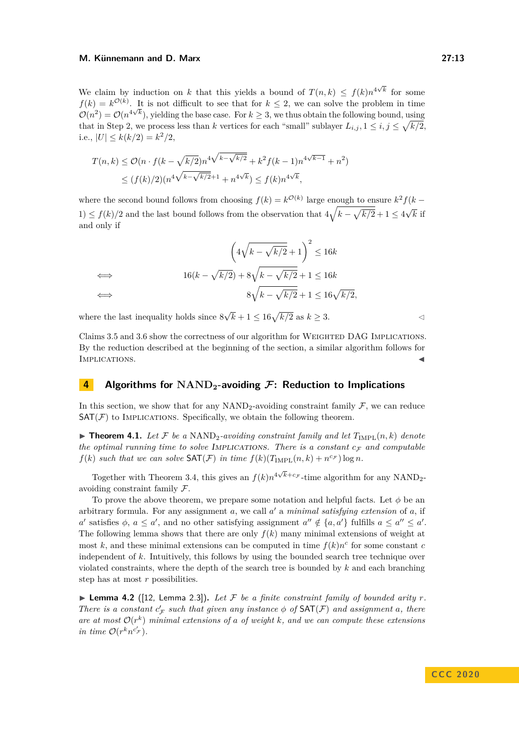We claim by induction on *k* that this yields a bound of  $T(n,k) \leq f(k)n^{4\sqrt{k}}$  for some  $f(k) = k^{\mathcal{O}(k)}$ . It is not difficult to see that for  $k \leq 2$ , we can solve the problem in time  $\mathcal{O}(n^2) = \mathcal{O}(n^{4\sqrt{k}})$ , yielding the base case. For  $k \geq 3$ , we thus obtain the following bound, using that in Step 2, we process less than *k* vertices for each "small" sublayer  $L_{i,j}$ ,  $1 \leq i, j \leq \sqrt{k/2}$ , i.e.,  $|U| \leq k(k/2) = k^2/2$ ,

$$
T(n,k) \le \mathcal{O}(n \cdot f(k - \sqrt{k/2})n^{4\sqrt{k-\sqrt{k/2}}} + k^{2} f(k-1) n^{4\sqrt{k-1}} + n^{2})
$$
  
 
$$
\le (f(k)/2)(n^{4\sqrt{k-\sqrt{k/2}}+1} + n^{4\sqrt{k}}) \le f(k) n^{4\sqrt{k}},
$$

where the second bound follows from choosing  $f(k) = k^{\mathcal{O}(k)}$  large enough to ensure  $k^2 f(k -$ 1) ≤  $f(k)/2$  and the last bound follows from the observation that  $4\sqrt{k - \sqrt{k/2}} + 1 \leq 4$ √ *k* if and only if

$$
\left(4\sqrt{k-\sqrt{k/2}}+1\right)^2 \le 16k
$$
  

$$
16(k-\sqrt{k/2})+8\sqrt{k-\sqrt{k/2}}+1 \le 16k
$$
  

$$
8\sqrt{k-\sqrt{k/2}}+1 \le 16\sqrt{k/2},
$$

where the last inequality holds since 8  $\sqrt{k}$  + 1 ≤ 16 $\sqrt{k/2}$  as  $k \ge 3$ .  $\triangleleft$ 

Claims [3.5](#page-11-0) and [3.6](#page-11-1) show the correctness of our algorithm for WEIGHTED DAG IMPLICATIONS. By the reduction described at the beginning of the section, a similar algorithm follows for IMPLICATIONS.

## <span id="page-12-0"></span>**4 Algorithms for NAND2-avoiding F: Reduction to Implications**

In this section, we show that for any  $NAND<sub>2</sub>$ -avoiding constraint family  $\mathcal F$ , we can reduce  $SAT(F)$  to IMPLICATIONS. Specifically, we obtain the following theorem.

<span id="page-12-2"></span> $\triangleright$  **Theorem 4.1.** Let F be a NAND<sub>2</sub>-avoiding constraint family and let  $T_{\text{IMPL}}(n,k)$  denote *the optimal running time to solve IMPLICATIONS. There is a constant*  $c_F$  *and computable*  $f(k)$  *such that we can solve*  $\textsf{SAT}(\mathcal{F})$  *in time*  $f(k)(T_{\text{IMPL}}(n,k) + n^{c_{\mathcal{F}}}) \log n$ .

Together with Theorem [3.4,](#page-10-2) this gives an  $f(k)n^{4\sqrt{k}+c\mathcal{F}}$ -time algorithm for any NAND<sub>2</sub>avoiding constraint family F.

To prove the above theorem, we prepare some notation and helpful facts. Let  $\phi$  be an arbitrary formula. For any assignment  $a$ , we call  $a'$  a *minimal satisfying extension* of  $a$ , if *a*<sup>*a*</sup> satisfies  $\phi$ ,  $a \leq a'$ , and no other satisfying assignment  $a'' \notin \{a, a'\}$  fulfills  $a \leq a'' \leq a'$ . The following lemma shows that there are only  $f(k)$  many minimal extensions of weight at most *k*, and these minimal extensions can be computed in time  $f(k)n<sup>c</sup>$  for some constant *c* independent of *k*. Intuitively, this follows by using the bounded search tree technique over violated constraints, where the depth of the search tree is bounded by *k* and each branching step has at most *r* possibilities.

<span id="page-12-1"></span>**Example 4.2** ([\[12,](#page-26-15) Lemma 2.3]). Let F be a finite constraint family of bounded arity  $r$ . *There is a constant*  $c'_{\mathcal{F}}$  *such that given any instance*  $\phi$  *of*  $\textsf{SAT}(\mathcal{F})$  *and assignment a, there are at most* O(*r k* ) *minimal extensions of a of weight k, and we can compute these extensions in time*  $O(r^k n^{c'_\mathcal{F}})$ *.*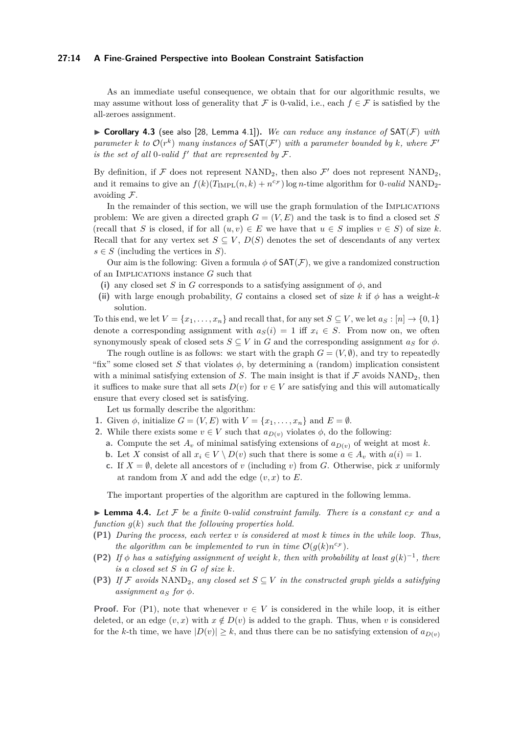### **27:14 A Fine-Grained Perspective into Boolean Constraint Satisfaction**

As an immediate useful consequence, we obtain that for our algorithmic results, we may assume without loss of generality that F is 0-valid, i.e., each  $f \in \mathcal{F}$  is satisfied by the all-zeroes assignment.

<span id="page-13-3"></span> $\triangleright$  **Corollary 4.3** (see also [\[28,](#page-26-2) Lemma 4.1]). We can reduce any instance of  $\mathsf{SAT}(\mathcal{F})$  with *parameter k* to  $\mathcal{O}(r^k)$  *many instances of*  $\mathsf{SAT}(\mathcal{F}')$  *with a parameter bounded by k, where*  $\mathcal{F}'$ *is the set of all* 0-*valid*  $f'$  that are represented by  $\mathcal{F}$ .

By definition, if  $\mathcal F$  does not represent NAND<sub>2</sub>, then also  $\mathcal F'$  does not represent NAND<sub>2</sub>, and it remains to give an  $f(k)(T_{\text{IMPL}}(n,k) + n^{c_{\mathcal{F}}})\log n$ -time algorithm for 0-valid NAND<sub>2</sub>avoiding  $\mathcal{F}.$ 

In the remainder of this section, we will use the graph formulation of the IMPLICATIONS problem: We are given a directed graph  $G = (V, E)$  and the task is to find a closed set *S* (recall that *S* is closed, if for all  $(u, v) \in E$  we have that  $u \in S$  implies  $v \in S$ ) of size *k*. Recall that for any vertex set  $S \subseteq V$ ,  $D(S)$  denotes the set of descendants of any vertex  $s \in S$  (including the vertices in *S*).

Our aim is the following: Given a formula  $\phi$  of  $SAT(\mathcal{F})$ , we give a randomized construction of an Implications instance *G* such that

- **(i)** any closed set *S* in *G* corresponds to a satisfying assignment of  $\phi$ , and
- (ii) with large enough probability, *G* contains a closed set of size *k* if  $\phi$  has a weight-*k* solution.

To this end, we let  $V = \{x_1, \ldots, x_n\}$  and recall that, for any set  $S \subseteq V$ , we let  $a_S : [n] \rightarrow \{0, 1\}$ denote a corresponding assignment with  $a_S(i) = 1$  iff  $x_i \in S$ . From now on, we often synonymously speak of closed sets  $S \subseteq V$  in *G* and the corresponding assignment  $a_S$  for  $\phi$ .

The rough outline is as follows: we start with the graph  $G = (V, \emptyset)$ , and try to repeatedly "fix" some closed set *S* that violates  $\phi$ , by determining a (random) implication consistent with a minimal satisfying extension of *S*. The main insight is that if  $\mathcal F$  avoids NAND<sub>2</sub>, then it suffices to make sure that all sets  $D(v)$  for  $v \in V$  are satisfying and this will automatically ensure that every closed set is satisfying.

Let us formally describe the algorithm:

- **1.** Given  $\phi$ , initialize  $G = (V, E)$  with  $V = \{x_1, \ldots, x_n\}$  and  $E = \emptyset$ .
- **2.** While there exists some  $v \in V$  such that  $a_{D(v)}$  violates  $\phi$ , do the following:
	- **a.** Compute the set  $A_v$  of minimal satisfying extensions of  $a_{D(v)}$  of weight at most *k*.
	- **b.** Let *X* consist of all  $x_i \in V \setminus D(v)$  such that there is some  $a \in A_v$  with  $a(i) = 1$ .
	- **c.** If  $X = \emptyset$ , delete all ancestors of *v* (including *v*) from *G*. Otherwise, pick *x* uniformly at random from  $X$  and add the edge  $(v, x)$  to  $E$ .

The important properties of the algorithm are captured in the following lemma.

<span id="page-13-4"></span>**Lemma 4.4.** Let F be a finite 0-valid constraint family. There is a constant  $c_F$  and a *function g*(*k*) *such that the following properties hold.*

- <span id="page-13-0"></span>**(P1)** *During the process, each vertex v is considered at most k times in the while loop. Thus, the algorithm can be implemented to run in time*  $O(g(k)n^{c_{\mathcal{F}}})$ *.*
- <span id="page-13-1"></span>**(P2)** *If*  $\phi$  *has a satisfying assignment of weight k, then with probability at least*  $g(k)^{-1}$ *, there is a closed set S in G of size k.*
- <span id="page-13-2"></span>**(P3)** *If*  $\mathcal F$  *avoids* NAND<sub>2</sub>*, any closed set*  $S \subseteq V$  *in the constructed graph yields a satisfying*  $$

**Proof.** For ([P1\)](#page-13-0), note that whenever  $v \in V$  is considered in the while loop, it is either deleted, or an edge  $(v, x)$  with  $x \notin D(v)$  is added to the graph. Thus, when *v* is considered for the *k*-th time, we have  $|D(v)| \geq k$ , and thus there can be no satisfying extension of  $a_{D(v)}$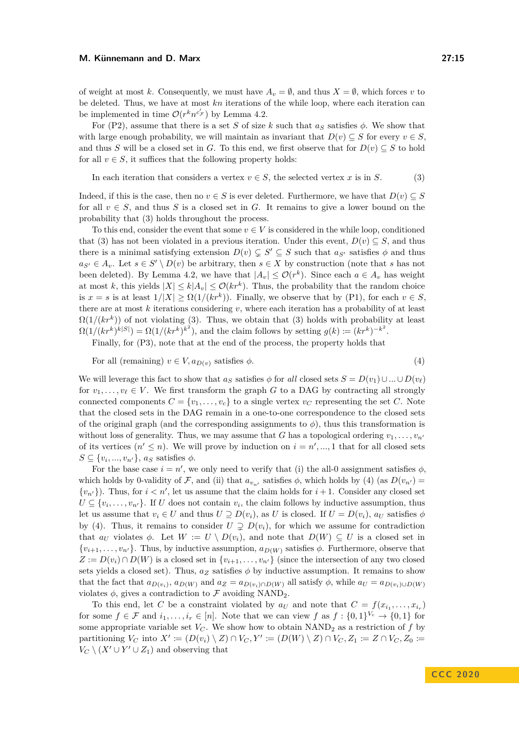of weight at most k. Consequently, we must have  $A_v = \emptyset$ , and thus  $X = \emptyset$ , which forces v to be deleted. Thus, we have at most *kn* iterations of the while loop, where each iteration can be implemented in time  $\mathcal{O}(r^k n^{c'_\mathcal{F}})$  by Lemma [4.2.](#page-12-1)

For ([P2\)](#page-13-1), assume that there is a set *S* of size *k* such that  $a<sub>S</sub>$  satisfies  $\phi$ . We show that with large enough probability, we will maintain as invariant that  $D(v) \subseteq S$  for every  $v \in S$ . and thus *S* will be a closed set in *G*. To this end, we first observe that for  $D(v) \subseteq S$  to hold for all  $v \in S$ , it suffices that the following property holds:

<span id="page-14-0"></span>In each iteration that considers a vertex  $v \in S$ , the selected vertex x is in S. (3)

Indeed, if this is the case, then no  $v \in S$  is ever deleted. Furthermore, we have that  $D(v) \subseteq S$ for all  $v \in S$ , and thus *S* is a closed set in *G*. It remains to give a lower bound on the probability that [\(3\)](#page-14-0) holds throughout the process.

To this end, consider the event that some  $v \in V$  is considered in the while loop, conditioned that [\(3\)](#page-14-0) has not been violated in a previous iteration. Under this event,  $D(v) \subseteq S$ , and thus there is a minimal satisfying extension  $D(v) \subsetneq S' \subseteq S$  such that  $a_{S'}$  satisfies  $\phi$  and thus  $a_{S'} \in A_v$ . Let  $s \in S' \setminus D(v)$  be arbitrary, then  $s \in X$  by construction (note that *s* has not been deleted). By Lemma [4.2,](#page-12-1) we have that  $|A_v| \leq \mathcal{O}(r^k)$ . Since each  $a \in A_v$  has weight at most *k*, this yields  $|X| \le k|A_v| \le \mathcal{O}(kr^k)$ . Thus, the probability that the random choice is  $x = s$  is at least  $1/|X| \geq \Omega(1/(kr^k))$ . Finally, we observe that by ([P1\)](#page-13-0), for each  $v \in S$ , there are at most  $k$  iterations considering  $v$ , where each iteration has a probability of at least  $\Omega(1/(kr^k))$  of not violating [\(3\)](#page-14-0). Thus, we obtain that (3) holds with probability at least  $\Omega(1/(kr^k)^{k|S|}) = \Omega(1/(kr^k)^{k^2})$ , and the claim follows by setting  $g(k) := (kr^k)^{-k^2}$ .

<span id="page-14-1"></span>Finally, for ([P3\)](#page-13-2), note that at the end of the process, the property holds that

For all (remaining) 
$$
v \in V
$$
,  $a_{D(v)}$  satisfies  $\phi$ . (4)

We will leverage this fact to show that  $a_S$  satisfies  $\phi$  for *all* closed sets  $S = D(v_1) \cup ... \cup D(v_\ell)$ for  $v_1, \ldots, v_\ell \in V$ . We first transform the graph *G* to a DAG by contracting all strongly connected components  $C = \{v_1, \ldots, v_c\}$  to a single vertex  $v_C$  representing the set *C*. Note that the closed sets in the DAG remain in a one-to-one correspondence to the closed sets of the original graph (and the corresponding assignments to  $\phi$ ), thus this transformation is without loss of generality. Thus, we may assume that *G* has a topological ordering  $v_1, \ldots, v_{n'}$ of its vertices  $(n' \leq n)$ . We will prove by induction on  $i = n', ..., 1$  that for all closed sets  $S \subseteq \{v_i, ..., v_{n'}\}, a_S$  satisfies  $\phi$ .

For the base case  $i = n'$ , we only need to verify that (i) the all-0 assignment satisfies  $\phi$ , which holds by 0-validity of F, and (ii) that  $a_{v_{n'}}$  satisfies  $\phi$ , which holds by [\(4\)](#page-14-1) (as  $D(v_{n'}) =$  $\{v_{n'}\}$ ). Thus, for  $i < n'$ , let us assume that the claim holds for  $i + 1$ . Consider any closed set  $U \subseteq \{v_i, \ldots, v_{n'}\}$ . If *U* does not contain  $v_i$ , the claim follows by inductive assumption, thus let us assume that  $v_i \in U$  and thus  $U \supseteq D(v_i)$ , as *U* is closed. If  $U = D(v_i)$ ,  $a_U$  satisfies  $\phi$ by [\(4\)](#page-14-1). Thus, it remains to consider  $U \supsetneq D(v_i)$ , for which we assume for contradiction that  $a_U$  violates  $\phi$ . Let  $W := U \setminus D(v_i)$ , and note that  $D(W) \subseteq U$  is a closed set in  $\{v_{i+1}, \ldots, v_{n'}\}$ . Thus, by inductive assumption,  $a_{D(W)}$  satisfies  $\phi$ . Furthermore, observe that  $Z := D(v_i) \cap D(W)$  is a closed set in  $\{v_{i+1}, \ldots, v_{n'}\}$  (since the intersection of any two closed sets yields a closed set). Thus,  $a_Z$  satisfies  $\phi$  by inductive assumption. It remains to show that the fact that  $a_{D(v_i)}$ ,  $a_{D(W)}$  and  $a_Z = a_{D(v_i) \cap D(W)}$  all satisfy  $\phi$ , while  $a_U = a_{D(v_i) \cup D(W)}$ violates  $\phi$ , gives a contradiction to  $\mathcal F$  avoiding NAND<sub>2</sub>.

To this end, let *C* be a constraint violated by  $a_U$  and note that  $C = f(x_{i_1}, \ldots, x_{i_r})$ for some  $f \in \mathcal{F}$  and  $i_1, \ldots, i_r \in [n]$ . Note that we can view  $f$  as  $f : \{0,1\}^{V_c} \to \{0,1\}$  for some appropriate variable set  $V_C$ . We show how to obtain  $NAND_2$  as a restriction of f by partitioning  $V_C$  into  $X' := (D(v_i) \setminus Z) \cap V_C, Y' := (D(W) \setminus Z) \cap V_C, Z_1 := Z \cap V_C, Z_0 :=$  $V_C \setminus (X' \cup Y' \cup Z_1)$  and observing that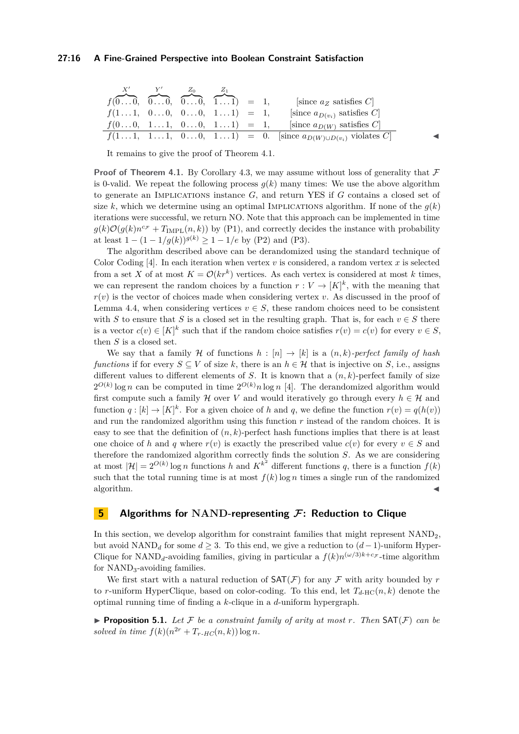### **27:16 A Fine-Grained Perspective into Boolean Constraint Satisfaction**

| $f(00, 00, 00, 11) = 1,$                                 |  |  | [since $a_Z$ satisfies $C$ ]                                      |  |
|----------------------------------------------------------|--|--|-------------------------------------------------------------------|--|
| $f(1 \ldots 1, 0 \ldots 0, 0 \ldots 0, 1 \ldots 1) = 1,$ |  |  | [since $a_{D(v_i)}$ satisfies C]                                  |  |
| $f(00, 11, 00, 11) = 1,$                                 |  |  | [since $a_{D(W)}$ satisfies C]                                    |  |
|                                                          |  |  | $f(11, 11, 00, 11) = 0.$ [since $a_{D(W)\cup D(v_i)}$ violates C] |  |

It remains to give the proof of Theorem [4.1.](#page-12-2)

**Proof of Theorem [4.1.](#page-12-2)** By Corollary [4.3,](#page-13-3) we may assume without loss of generality that  $\mathcal F$ is 0-valid. We repeat the following process  $g(k)$  many times: We use the above algorithm to generate an Implications instance *G*, and return YES if *G* contains a closed set of size  $k$ , which we determine using an optimal IMPLICATIONS algorithm. If none of the  $g(k)$ iterations were successful, we return NO. Note that this approach can be implemented in time  $g(k)O(g(k)n^{c_{\mathcal{F}}}+T_{\text{IMPL}}(n,k))$  by ([P1\)](#page-13-0), and correctly decides the instance with probability at least  $1 - (1 - 1/g(k))^{g(k)} \ge 1 - 1/e$  by ([P2\)](#page-13-1) and ([P3\)](#page-13-2).

The algorithm described above can be derandomized using the standard technique of Color Coding  $[4]$ . In each iteration when vertex *v* is considered, a random vertex *x* is selected from a set *X* of at most  $K = \mathcal{O}(kr^k)$  vertices. As each vertex is considered at most *k* times, we can represent the random choices by a function  $r: V \to [K]^k$ , with the meaning that *r*(*v*) is the vector of choices made when considering vertex *v*. As discussed in the proof of Lemma [4.4,](#page-13-4) when considering vertices  $v \in S$ , these random choices need to be consistent with *S* to ensure that *S* is a closed set in the resulting graph. That is, for each  $v \in S$  there is a vector  $c(v) \in [K]^k$  such that if the random choice satisfies  $r(v) = c(v)$  for every  $v \in S$ , then *S* is a closed set.

We say that a family H of functions  $h : [n] \rightarrow [k]$  is a  $(n, k)$ *-perfect family of hash functions* if for every  $S \subseteq V$  of size k, there is an  $h \in H$  that is injective on S, i.e., assigns different values to different elements of *S*. It is known that a (*n, k*)-perfect family of size  $2^{O(k)}$  log *n* can be computed in time  $2^{O(k)}$ *n* log *n* [\[4\]](#page-25-10). The derandomized algorithm would first compute such a family H over *V* and would iteratively go through every  $h \in \mathcal{H}$  and function  $q: [k] \to [K]^k$ . For a given choice of *h* and *q*, we define the function  $r(v) = q(h(v))$ and run the randomized algorithm using this function *r* instead of the random choices. It is easy to see that the definition of  $(n, k)$ -perfect hash functions implies that there is at least one choice of *h* and *q* where  $r(v)$  is exactly the prescribed value  $c(v)$  for every  $v \in S$  and therefore the randomized algorithm correctly finds the solution *S*. As we are considering at most  $|\mathcal{H}| = 2^{O(k)} \log n$  functions *h* and  $K^{k^2}$  different functions *q*, there is a function  $f(k)$ such that the total running time is at most  $f(k)$  log *n* times a single run of the randomized  $\blacksquare$ algorithm.

## **5 Algorithms for NAND-representing F: Reduction to Clique**

In this section, we develop algorithm for constraint families that might represent  $NAND<sub>2</sub>$ , but avoid NAND<sub>d</sub> for some  $d \geq 3$ . To this end, we give a reduction to  $(d-1)$ -uniform Hyper-Clique for NAND<sub>d</sub>-avoiding families, giving in particular a  $f(k)n^{(\omega/3)k+c_{\mathcal{F}}}\text{-time algorithm}$ for  $NAND<sub>3</sub>$ -avoiding families.

We first start with a natural reduction of  $SAT(\mathcal{F})$  for any  $\mathcal{F}$  with arity bounded by r to *r*-uniform HyperClique, based on color-coding. To this end, let  $T_{d,HC}(n,k)$  denote the optimal running time of finding a *k*-clique in a *d*-uniform hypergraph.

<span id="page-15-0"></span>**Proposition 5.1.** Let F be a constraint family of arity at most  $r$ . Then  $SAT(F)$  can be *solved in time*  $f(k)(n^{2r} + T_{r-HC}(n, k)) \log n$ *.*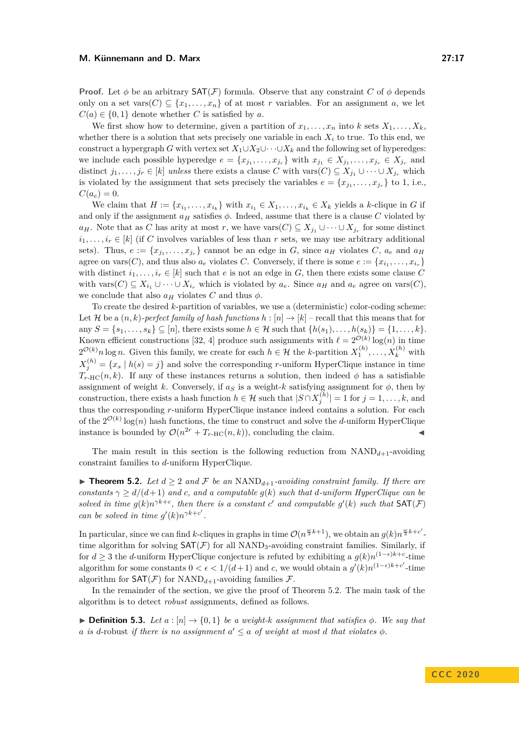**Proof.** Let  $\phi$  be an arbitrary  $SAT(\mathcal{F})$  formula. Observe that any constraint *C* of  $\phi$  depends only on a set vars $(C) \subseteq \{x_1, \ldots, x_n\}$  of at most *r* variables. For an assignment *a*, we let  $C(a) \in \{0, 1\}$  denote whether *C* is satisfied by *a*.

We first show how to determine, given a partition of  $x_1, \ldots, x_n$  into  $k$  sets  $X_1, \ldots, X_k$ whether there is a solution that sets precisely one variable in each  $X_i$  to true. To this end, we construct a hypergraph *G* with vertex set  $X_1 \cup X_2 \cup \cdots \cup X_k$  and the following set of hyperedges: we include each possible hyperedge  $e = \{x_{j_1}, \ldots, x_{j_r}\}$  with  $x_{j_1} \in X_{j_1}, \ldots, x_{j_r} \in X_{j_r}$  and distinct  $j_1, \ldots, j_r \in [k]$  *unless* there exists a clause *C* with vars $(C) \subseteq X_{j_1} \cup \cdots \cup X_{j_r}$  which is violated by the assignment that sets precisely the variables  $e = \{x_{j_1}, \ldots, x_{j_r}\}\)$  to 1, i.e.,  $C(a_e) = 0.$ 

We claim that  $H := \{x_{i_1}, \ldots, x_{i_k}\}\$  with  $x_{i_1} \in X_1, \ldots, x_{i_k} \in X_k$  yields a *k*-clique in *G* if and only if the assignment  $a_H$  satisfies  $\phi$ . Indeed, assume that there is a clause C violated by *a*<sub>*H*</sub>. Note that as *C* has arity at most *r*, we have vars $(C) \subseteq X_{j_1} \cup \cdots \cup X_{j_r}$  for some distinct  $i_1, \ldots, i_r \in [k]$  (if *C* involves variables of less than *r* sets, we may use arbitrary additional sets). Thus,  $e := \{x_{j_1}, \ldots, x_{j_r}\}$  cannot be an edge in *G*, since  $a_H$  violates *C*,  $a_e$  and  $a_H$ agree on vars(*C*), and thus also  $a_e$  violates *C*. Conversely, if there is some  $e := \{x_{i_1}, \ldots, x_{i_r}\}$ with distinct  $i_1, \ldots, i_r \in [k]$  such that *e* is not an edge in *G*, then there exists some clause *C* with vars $(C) \subseteq X_{i_1} \cup \cdots \cup X_{i_r}$  which is violated by  $a_e$ . Since  $a_H$  and  $a_e$  agree on vars $(C)$ , we conclude that also  $a_H$  violates C and thus  $\phi$ .

To create the desired *k*-partition of variables, we use a (deterministic) color-coding scheme: Let H be a  $(n, k)$ -perfect family of hash functions  $h : [n] \to [k]$  – recall that this means that for  $\text{any } S = \{s_1, \ldots, s_k\} \subset [n], \text{ there exists some } h \in \mathcal{H} \text{ such that } \{h(s_1), \ldots, h(s_k)\} = \{1, \ldots, k\}.$ Known efficient constructions [\[32,](#page-26-20) [4\]](#page-25-10) produce such assignments with  $\ell = 2^{\mathcal{O}(k)} \log(n)$  in time  $2^{\mathcal{O}(k)}n \log n$ . Given this family, we create for each  $h \in \mathcal{H}$  the *k*-partition  $X_1^{(h)}, \ldots, X_k^{(h)}$  with  $X_j^{(h)} = \{x_s \mid h(s) = j\}$  and solve the corresponding *r*-uniform HyperClique instance in time  $T_{r-\text{HC}}(n, k)$ . If any of these instances returns a solution, then indeed  $\phi$  has a satisfiable assignment of weight *k*. Conversely, if  $a<sub>S</sub>$  is a weight-*k* satisfying assignment for  $\phi$ , then by construction, there exists a hash function  $h \in \mathcal{H}$  such that  $|S \cap X_j^{(h)}| = 1$  for  $j = 1, \ldots, k$ , and thus the corresponding *r*-uniform HyperClique instance indeed contains a solution. For each of the  $2^{\mathcal{O}(k)} \log(n)$  hash functions, the time to construct and solve the *d*-uniform HyperClique instance is bounded by  $\mathcal{O}(n^{2r} + T_{r-HC}(n, k))$ , concluding the claim.

The main result in this section is the following reduction from  $NAND_{d+1}$ -avoiding constraint families to *d*-uniform HyperClique.

<span id="page-16-0"></span>▶ **Theorem 5.2.** Let  $d \geq 2$  and  $\mathcal{F}$  be an NAND<sub> $d+1$ </sub>-avoiding constraint family. If there are *constants*  $\gamma$  >  $d/(d+1)$  *and c, and a computable*  $q(k)$  *such that d-uniform HyperClique can be solved in time*  $g(k)n^{\gamma k+c}$ , then there is a constant c' and computable  $g'(k)$  such that  $\mathsf{SAT}(\mathcal{F})$ *can be solved in time*  $g'(k)n^{\gamma k+c'}$ .

In particular, since we can find *k*-cliques in graphs in time  $\mathcal{O}(n^{\frac{\omega}{3}k+1})$ , we obtain an  $g(k)n^{\frac{\omega}{3}k+c'}$ time algorithm for solving  $SAT(\mathcal{F})$  for all  $NAND<sub>3</sub>$ -avoiding constraint families. Similarly, if for  $d \geq 3$  the *d*-uniform HyperClique conjecture is refuted by exhibiting a  $g(k)n^{(1-\epsilon)k+c}$ -time algorithm for some constants  $0 < \epsilon < 1/(d+1)$  and *c*, we would obtain a  $g'(k)n^{(1-\epsilon)k+c'}$ -time algorithm for  $\mathsf{SAT}(\mathcal{F})$  for  $\mathrm{NAND}_{d+1}$ -avoiding families  $\mathcal{F}$ .

In the remainder of the section, we give the proof of Theorem [5.2.](#page-16-0) The main task of the algorithm is to detect *robust* assignments, defined as follows.

**► Definition 5.3.** *Let*  $a : [n] \rightarrow \{0, 1\}$  *be a weight-k assignment that satisfies*  $\phi$ *. We say that a is d*-robust *if there is no assignment*  $a' \leq a$  *of weight at most d that violates*  $\phi$ *.*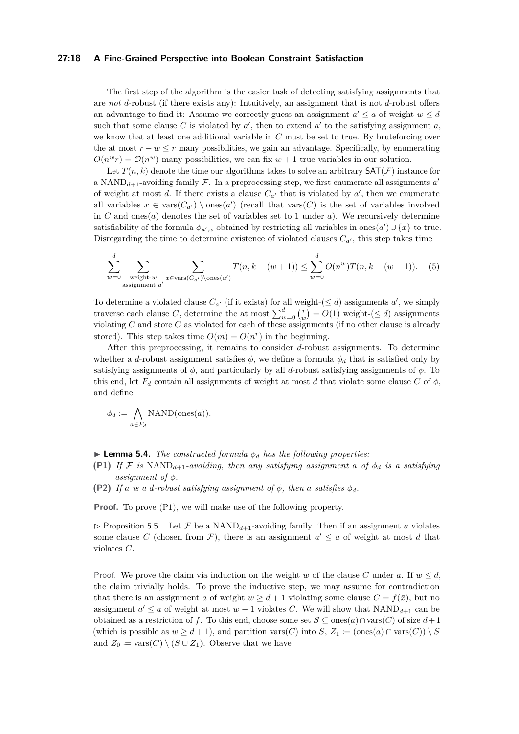### **27:18 A Fine-Grained Perspective into Boolean Constraint Satisfaction**

The first step of the algorithm is the easier task of detecting satisfying assignments that are *not d*-robust (if there exists any): Intuitively, an assignment that is not *d*-robust offers an advantage to find it: Assume we correctly guess an assignment  $a' \leq a$  of weight  $w \leq d$ such that some clause C is violated by  $a'$ , then to extend  $a'$  to the satisfying assignment  $a$ , we know that at least one additional variable in *C* must be set to true. By bruteforcing over the at most  $r - w \leq r$  many possibilities, we gain an advantage. Specifically, by enumerating  $O(n^w r) = O(n^w)$  many possibilities, we can fix  $w + 1$  true variables in our solution.

Let  $T(n, k)$  denote the time our algorithms takes to solve an arbitrary  $\mathsf{SAT}(\mathcal{F})$  instance for a NAND<sub>d+1</sub>-avoiding family  $\mathcal{F}$ . In a preprocessing step, we first enumerate all assignments  $a'$ of weight at most *d*. If there exists a clause  $C_{a'}$  that is violated by  $a'$ , then we enumerate all variables  $x \in \text{vars}(C_{a'}) \setminus \text{ones}(a')$  (recall that vars $(C)$ ) is the set of variables involved in *C* and ones(*a*) denotes the set of variables set to 1 under *a*). We recursively determine satisfiability of the formula  $\phi_{a',x}$  obtained by restricting all variables in ones $(a') \cup \{x\}$  to true. Disregarding the time to determine existence of violated clauses  $C_{a'}$ , this step takes time

<span id="page-17-1"></span>
$$
\sum_{w=0}^{d} \sum_{\substack{\text{weight-}w\\ \text{assignment } a'}} \sum_{x \in \text{vars}(C_{a'}) \setminus \text{ones}(a')} T(n, k - (w+1)) \le \sum_{w=0}^{d} O(n^w) T(n, k - (w+1)). \tag{5}
$$

To determine a violated clause  $C_{a'}$  (if it exists) for all weight-( $\leq d$ ) assignments  $a'$ , we simply traverse each clause *C*, determine the at most  $\sum_{w=0}^{d} {r \choose w} = O(1)$  weight-( $\leq d$ ) assignments violating *C* and store *C* as violated for each of these assignments (if no other clause is already stored). This step takes time  $O(m) = O(n^r)$  in the beginning.

After this preprocessing, it remains to consider *d*-robust assignments. To determine whether a *d*-robust assignment satisfies  $\phi$ , we define a formula  $\phi_d$  that is satisfied only by satisfying assignments of  $\phi$ , and particularly by all *d*-robust satisfying assignments of  $\phi$ . To this end, let  $F_d$  contain all assignments of weight at most *d* that violate some clause C of  $\phi$ , and define

$$
\phi_d := \bigwedge_{a \in F_d} \text{NAND}(\text{ones}(a)).
$$

 $\blacktriangleright$  **Lemma 5.4.** *The constructed formula*  $\phi_d$  *has the following properties:* 

**(P1)** If F is NAND<sub>d+1</sub>-avoiding, then any satisfying assignment a of  $\phi_d$  is a satisfying *assignment of φ.*

**(P2)** If a is a *d*-robust satisfying assignment of  $\phi$ , then a satisfies  $\phi_d$ .

<span id="page-17-0"></span>**Proof.** To prove  $(P1)$ , we will make use of the following property.

 $\triangleright$  Proposition 5.5. Let F be a NAND<sub>d+1</sub>-avoiding family. Then if an assignment *a* violates some clause C (chosen from  $\mathcal{F}$ ), there is an assignment  $a' \leq a$  of weight at most d that violates *C*.

Proof. We prove the claim via induction on the weight *w* of the clause *C* under *a*. If  $w \leq d$ , the claim trivially holds. To prove the inductive step, we may assume for contradiction that there is an assignment *a* of weight  $w \geq d+1$  violating some clause  $C = f(\bar{x})$ , but no assignment  $a' \leq a$  of weight at most  $w - 1$  violates *C*. We will show that  $NAND_{d+1}$  can be obtained as a restriction of *f*. To this end, choose some set  $S \subseteq \text{ones}(a) \cap \text{vars}(C)$  of size  $d+1$ (which is possible as  $w \geq d + 1$ ), and partition vars(*C*) into *S*,  $Z_1 := (\text{ones}(a) \cap \text{vars}(C)) \setminus S$ and  $Z_0 \coloneqq \text{vars}(C) \setminus (S \cup Z_1)$ . Observe that we have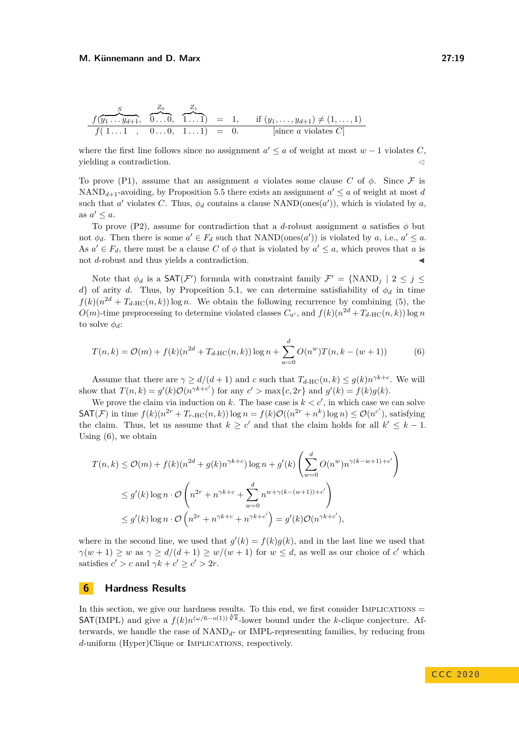$$
\frac{S}{f(y_1 \dots y_{d+1}, \quad 0 \dots 0, \quad 1 \dots 1)} = 1, \quad \text{if } (y_1, \dots, y_{d+1}) \neq (1, \dots, 1)
$$
\n
$$
f(1 \dots 1, \quad 0 \dots 0, \quad 1 \dots 1) = 0. \quad \text{[since } a \text{ violates } C\text{]}
$$

where the first line follows since no assignment  $a' \leq a$  of weight at most  $w - 1$  violates *C*,  $\Box$  yielding a contradiction.

To prove (P1), assume that an assignment *a* violates some clause *C* of  $\phi$ . Since F is NAND<sub>d+1</sub>-avoiding, by Proposition [5.5](#page-17-0) there exists an assignment  $a' \leq a$  of weight at most *d* such that *a'* violates *C*. Thus,  $\phi_d$  contains a clause NAND(ones(*a'*)), which is violated by *a*, as  $a' \leq a$ .

To prove (P2), assume for contradiction that a *d*-robust assignment *a* satisfies *φ* but not  $\phi_d$ . Then there is some  $a' \in F_d$  such that NAND(ones(*a'*)) is violated by *a*, i.e.,  $a' \le a$ . As  $a' \in F_d$ , there must be a clause *C* of  $\phi$  that is violated by  $a' \leq a$ , which proves that *a* is not *d*-robust and thus yields a contradiction.

Note that  $\phi_d$  is a  $\text{SAT}(\mathcal{F}')$  formula with constraint family  $\mathcal{F}' = {\text{NAND}_j \mid 2 \leq j \leq j}$ *d*} of arity *d*. Thus, by Proposition [5.1,](#page-15-0) we can determine satisfiability of  $\phi_d$  in time  $f(k)(n^{2d} + T_{d-HC}(n,k))$  log *n*. We obtain the following recurrence by combining [\(5\)](#page-17-1), the  $O(m)$ -time preprocessing to determine violated classes  $C_{a'}$ , and  $f(k)(n^{2d} + T_{d-HC}(n, k))$  log *n* to solve  $\phi_d$ :

<span id="page-18-1"></span>
$$
T(n,k) = \mathcal{O}(m) + f(k)(n^{2d} + T_{d-\mathrm{HC}}(n,k))\log n + \sum_{w=0}^{d} O(n^w)T(n,k-(w+1))
$$
 (6)

Assume that there are  $\gamma \ge d/(d+1)$  and *c* such that  $T_{d-\text{HC}}(n,k) \le g(k)n^{\gamma k+c}$ . We will show that  $T(n, k) = g'(k)\mathcal{O}(n^{\gamma k + c'})$  for any  $c' > \max\{c, 2r\}$  and  $g'(k) = f(k)g(k)$ .

We prove the claim via induction on k. The base case is  $k < c'$ , in which case we can solve  $\mathsf{SAT}(\mathcal{F})$  in time  $f(k)(n^{2r} + T_{r\text{-HC}}(n,k)) \log n = f(k)\mathcal{O}((n^{2r} + n^k) \log n) \leq \mathcal{O}(n^{c'})$ , satisfying the claim. Thus, let us assume that  $k \geq c'$  and that the claim holds for all  $k' \leq k - 1$ . Using [\(6\)](#page-18-1), we obtain

$$
T(n,k) \leq \mathcal{O}(m) + f(k)(n^{2d} + g(k)n^{\gamma k+c}) \log n + g'(k) \left(\sum_{w=0}^d O(n^w) n^{\gamma(k-w+1)+c'}\right)
$$
  

$$
\leq g'(k) \log n \cdot \mathcal{O}\left(n^{2r} + n^{\gamma k+c} + \sum_{w=0}^d n^{w+\gamma(k-(w+1))+c'}\right)
$$
  

$$
\leq g'(k) \log n \cdot \mathcal{O}\left(n^{2r} + n^{\gamma k+c} + n^{\gamma k+c'}\right) = g'(k)\mathcal{O}(n^{\gamma k+c'}),
$$

where in the second line, we used that  $g'(k) = f(k)g(k)$ , and in the last line we used that  $\gamma(w+1) \geq w$  as  $\gamma \geq d/(d+1) \geq w/(w+1)$  for  $w \leq d$ , as well as our choice of *c*' which satisfies  $c' > c$  and  $\gamma k + c' \geq c' > 2r$ .

## <span id="page-18-0"></span>**6 Hardness Results**

In this section, we give our hardness results. To this end, we first consider IMPLICATIONS  $=$  $SAT(IMPL)$  and give a  $f(k)n^{(\omega/6-o(1))\sqrt[3]{k}}$ -lower bound under the *k*-clique conjecture. Afterwards, we handle the case of NAND*d*- or IMPL-representing families, by reducing from *d*-uniform (Hyper)Clique or Implications, respectively.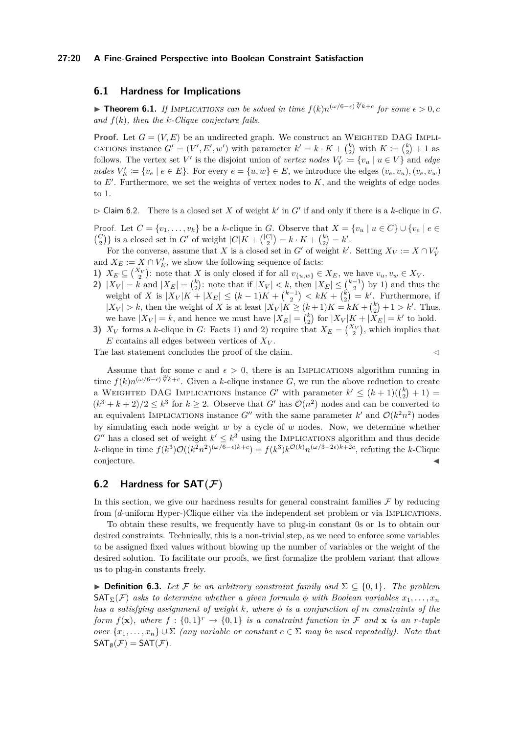### **27:20 A Fine-Grained Perspective into Boolean Constraint Satisfaction**

## **6.1 Hardness for Implications**

**► Theorem 6.1.** *If* IMPLICATIONS can be solved in time  $f(k)n^{(\omega/6-\epsilon)}\sqrt[3]{k}+c$  for some  $\epsilon > 0, c$ *and f*(*k*)*, then the k-Clique conjecture fails.*

**Proof.** Let  $G = (V, E)$  be an undirected graph. We construct an WEIGHTED DAG IMPLIcations instance  $G' = (V', E', w')$  with parameter  $k' = k \cdot K + {k \choose 2}$  with  $K \coloneqq {k \choose 2} + 1$  as follows. The vertex set *V*' is the disjoint union of *vertex nodes*  $V'_V := \{v_u \mid u \in V\}$  and *edge* nodes  $V'_E := \{v_e \mid e \in E\}$ . For every  $e = \{u, w\} \in E$ , we introduce the edges  $(v_e, v_u), (v_e, v_w)$ to  $E'$ . Furthermore, we set the weights of vertex nodes to  $K$ , and the weights of edge nodes to 1.

 $\triangleright$  Claim 6.2. There is a closed set *X* of weight *k*' in *G*' if and only if there is a *k*-clique in *G*.

Proof. Let  $C = \{v_1, \ldots, v_k\}$  be a *k*-clique in *G*. Observe that  $X = \{v_u \mid u \in C\} \cup \{v_e \mid e \in C\}$  ${C \choose 2}$  is a closed set in *G*<sup>*'*</sup> of weight  $|C|K + {|C| \choose 2} = k \cdot K + {k \choose 2} = k'$ .

For the converse, assume that *X* is a closed set in *G*<sup> $\prime$ </sup> of weight *k*<sup> $\prime$ </sup>. Setting  $X_V := X \cap V_V$ and  $X_E := X \cap V'_E$ , we show the following sequence of facts:

- 1)  $X_E \subseteq \binom{X_V}{2}$ : note that *X* is only closed if for all  $v_{\{u,w\}} \in X_E$ , we have  $v_u, v_w \in X_V$ .
- 2)  $|X_V| = k$  and  $|X_E| = \binom{k}{2}$ : note that if  $|X_V| < k$ , then  $|X_E| \leq \binom{k-1}{2}$  by 1) and thus the weight of *X* is  $|X_V|K + |X_E| \leq (k-1)K + \binom{k-1}{2} < kK + \binom{k}{2} = k'$ . Furthermore, if  $|X_V| > k$ , then the weight of *X* is at least  $|X_V|K \geq (k+1)K = kK + \binom{k}{2} + 1 > k'$ . Thus, we have  $|X_V| = k$ , and hence we must have  $|X_E| = {k \choose 2}$  for  $|X_V|K + |X_E| = k'$  to hold.

**3)**  $X_V$  forms a *k*-clique in *G*: Facts 1) and 2) require that  $X_E = \begin{pmatrix} X_V \\ 2 \end{pmatrix}$ , which implies that  $E$  contains all edges between vertices of  $X_V$ .

The last statement concludes the proof of the claim.  $\lhd$ 

Assume that for some  $c$  and  $\epsilon > 0$ , there is an IMPLICATIONS algorithm running in time  $f(k)n^{(\omega/6-\epsilon)}\sqrt[3]{k}+c$ . Given a *k*-clique instance *G*, we run the above reduction to create a WEIGHTED DAG IMPLICATIONS instance *G*<sup> $\prime$ </sup> with parameter  $k' \leq (k+1)((\frac{k}{2})+1)$  $(k^3 + k + 2)/2 \leq k^3$  for  $k \geq 2$ . Observe that *G'* has  $\mathcal{O}(n^2)$  nodes and can be converted to an equivalent IMPLICATIONS instance  $G''$  with the same parameter  $k'$  and  $\mathcal{O}(k^2n^2)$  nodes by simulating each node weight *w* by a cycle of *w* nodes. Now, we determine whether  $G''$  has a closed set of weight  $k' \leq k^3$  using the IMPLICATIONS algorithm and thus decide  $k$ -clique in time  $f(k^3)O((k^2n^2)^{(\omega/6-\epsilon)k+c}) = f(k^3)k^{\mathcal{O}(k)}n^{(\omega/3-2\epsilon)k+2c}$ , refuting the *k*-Clique  $\blacksquare$ conjecture.

## **6.2** Hardness for  $SAT(F)$

In this section, we give our hardness results for general constraint families  $\mathcal F$  by reducing from (*d*-uniform Hyper-)Clique either via the independent set problem or via Implications.

To obtain these results, we frequently have to plug-in constant 0s or 1s to obtain our desired constraints. Technically, this is a non-trivial step, as we need to enforce some variables to be assigned fixed values without blowing up the number of variables or the weight of the desired solution. To facilitate our proofs, we first formalize the problem variant that allows us to plug-in constants freely.

**► Definition 6.3.** Let F be an arbitrary constraint family and  $\Sigma \subseteq \{0,1\}$ . The problem  $SAT_{\Sigma}(\mathcal{F})$  *asks to determine whether a given formula*  $\phi$  *with Boolean variables*  $x_1, \ldots, x_n$ *has a satisfying assignment of weight k, where φ is a conjunction of m constraints of the form*  $f(\mathbf{x})$ *, where*  $f : \{0,1\}^r \to \{0,1\}$  *is a constraint function in* F *and* **x** *is an r-tuple over*  $\{x_1, \ldots, x_n\} \cup \Sigma$  *(any variable or constant*  $c \in \Sigma$  *may be used repeatedly). Note that*  $SAT_{\emptyset}(\mathcal{F}) = SAT(\mathcal{F})$ .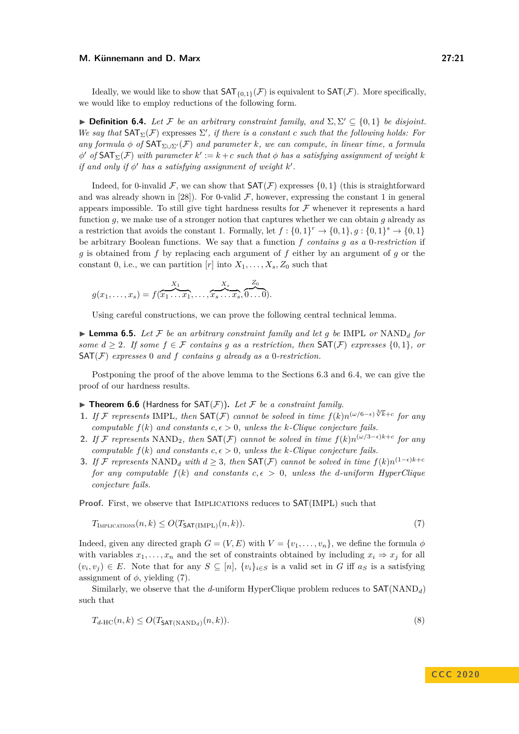Ideally, we would like to show that  $\text{SAT}_{0,1}(\mathcal{F})$  is equivalent to  $\text{SAT}(\mathcal{F})$ . More specifically, we would like to employ reductions of the following form.

**► Definition 6.4.** *Let*  $\mathcal{F}$  *be an arbitrary constraint family, and*  $\Sigma$ ,  $\Sigma' \subseteq \{0,1\}$  *be disjoint. We say that*  $SAT_{\Sigma}(\mathcal{F})$  expresses  $\Sigma'$ , *if there is a constant c such that the following holds: For any formula*  $\phi$  *of*  $SAT_{\Sigma\cup\Sigma'}(\mathcal{F})$  *and parameter k, we can compute, in linear time, a formula*  $\phi'$  *of*  $\mathsf{SAT}_{\Sigma}(\mathcal{F})$  *with parameter*  $k' := k + c$  *such that*  $\phi$  *has a satisfying assignment of weight*  $k$ *if and only if*  $\phi'$  *has a satisfying assignment of weight*  $k'$ .

Indeed, for 0-invalid  $\mathcal F$ , we can show that  $\text{SAT}(\mathcal F)$  expresses  $\{0,1\}$  (this is straightforward and was already shown in [\[28\]](#page-26-2)). For 0-valid  $\mathcal{F}$ , however, expressing the constant 1 in general appears impossible. To still give tight hardness results for  $\mathcal F$  whenever it represents a hard function *g*, we make use of a stronger notion that captures whether we can obtain *g* already as a restriction that avoids the constant 1. Formally, let  $f: \{0,1\}^r \to \{0,1\}, g: \{0,1\}^s \to \{0,1\}$ be arbitrary Boolean functions. We say that a function *f contains g as a* 0*-restriction* if *g* is obtained from *f* by replacing each argument of *f* either by an argument of *g* or the constant 0, i.e., we can partition  $[r]$  into  $X_1, \ldots, X_s, Z_0$  such that

$$
g(x_1,\ldots,x_s)=f(\overbrace{x_1\ldots x_1}^{X_1},\ldots,\overbrace{x_s\ldots x_s}^{X_s},\overbrace{0\ldots 0}^{Z_0}).
$$

Using careful constructions, we can prove the following central technical lemma.

<span id="page-20-2"></span> $\blacktriangleright$  **Lemma 6.5.** Let F be an arbitrary constraint family and let g be IMPL or NAND<sub>d</sub> for *some*  $d \geq 2$ *. If some*  $f \in \mathcal{F}$  *contains g as a restriction, then*  $\text{SAT}(\mathcal{F})$  *expresses*  $\{0,1\}$ *, or*  $SAT(F)$  *expresses* 0 *and f contains g already as a* 0-*restriction.* 

Postponing the proof of the above lemma to the Sections [6.3](#page-21-0) and [6.4,](#page-22-0) we can give the proof of our hardness results.

- **Theorem 6.6** (Hardness for SAT $(F)$ ). Let F be a constraint family.
- **1.** If F represents IMPL, then  $\text{SAT}(\mathcal{F})$  cannot be solved in time  $f(k)n^{(\omega/6-\epsilon)}\sqrt[3]{k}+c$  for any *computable*  $f(k)$  *and constants*  $c, \epsilon > 0$ *, unless the k*-*Clique conjecture fails.*
- **2.** If F represents NAND<sub>2</sub>, then  $\textsf{SAT}(\mathcal{F})$  cannot be solved in time  $f(k)n^{(\omega/3-\epsilon)k+c}$  for any *computable*  $f(k)$  *and constants*  $c, \epsilon > 0$ *, unless the k-Clique conjecture fails.*
- **3.** If F represents NAND<sub>*d*</sub> with  $d \geq 3$ , then  $\text{SAT}(\mathcal{F})$  cannot be solved in time  $f(k)n^{(1-\epsilon)k+c}$ *for any computable*  $f(k)$  *and constants*  $c, \epsilon > 0$ *, unless the d-uniform HyperClique conjecture fails.*

**Proof.** First, we observe that IMPLICATIONS reduces to  $SAT(IMPL)$  such that

<span id="page-20-0"></span>
$$
T_{\text{IMPLICATIONS}}(n,k) \le O(T_{\text{SAT}(\text{IMPL})}(n,k)).\tag{7}
$$

Indeed, given any directed graph  $G = (V, E)$  with  $V = \{v_1, \ldots, v_n\}$ , we define the formula  $\phi$ with variables  $x_1, \ldots, x_n$  and the set of constraints obtained by including  $x_i \Rightarrow x_j$  for all  $(v_i, v_j) \in E$ . Note that for any  $S \subseteq [n]$ ,  $\{v_i\}_{i \in S}$  is a valid set in *G* iff  $a_S$  is a satisfying assignment of  $\phi$ , yielding [\(7\)](#page-20-0).

Similarly, we observe that the *d*-uniform HyperClique problem reduces to  $SAT(NAND<sub>d</sub>)$ such that

<span id="page-20-1"></span>
$$
T_{d\text{-HC}}(n,k) \le O(T_{\text{SAT}(\text{NAND}_d)}(n,k)).\tag{8}
$$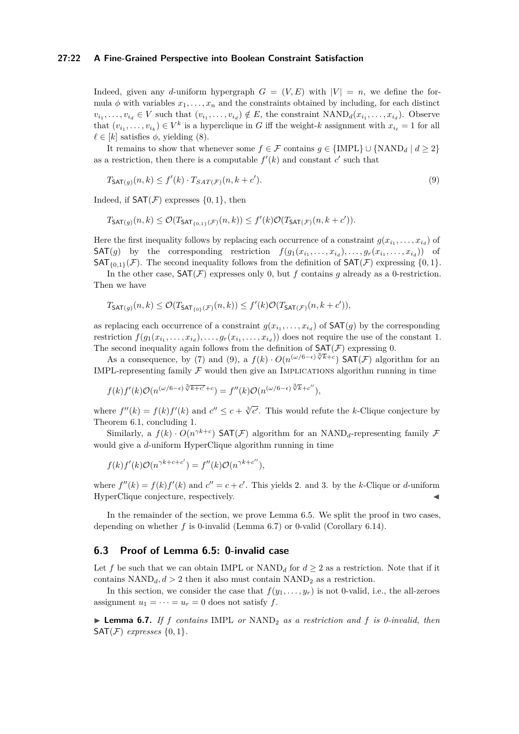### **27:22 A Fine-Grained Perspective into Boolean Constraint Satisfaction**

Indeed, given any *d*-uniform hypergraph  $G = (V, E)$  with  $|V| = n$ , we define the formula  $\phi$  with variables  $x_1, \ldots, x_n$  and the constraints obtained by including, for each distinct  $v_{i_1}, \ldots, v_{i_d} \in V$  such that  $(v_{i_1}, \ldots, v_{i_d}) \notin E$ , the constraint  $\text{NAND}_d(x_{i_1}, \ldots, x_{i_d})$ . Observe that  $(v_{i_1}, \ldots, v_{i_k}) \in V^k$  is a hyperclique in *G* iff the weight-*k* assignment with  $x_{i_\ell} = 1$  for all  $\ell \in [k]$  satisfies  $\phi$ , yielding [\(8\)](#page-20-1).

It remains to show that whenever some  $f \in \mathcal{F}$  contains  $q \in \{\text{IMPL}\}\cup \{\text{NAND}_d \mid d \geq 2\}$ as a restriction, then there is a computable  $f'(k)$  and constant  $c'$  such that

<span id="page-21-1"></span>
$$
T_{\mathsf{SAT}(g)}(n,k) \le f'(k) \cdot T_{SAT(\mathcal{F})}(n,k+c'). \tag{9}
$$

Indeed, if  $SAT(\mathcal{F})$  expresses  $\{0, 1\}$ , then

$$
T_{\mathsf{SAT}(g)}(n,k) \le \mathcal{O}(T_{\mathsf{SAT}_{\{0,1\}}(\mathcal{F})}(n,k)) \le f'(k)\mathcal{O}(T_{\mathsf{SAT}(\mathcal{F})}(n,k+c')).
$$

Here the first inequality follows by replacing each occurrence of a constraint  $g(x_{i_1},...,x_{i_d})$  of SAT(*g*) by the corresponding restriction  $f(g_1(x_{i_1},...,x_{i_d}),...,g_r(x_{i_1},...,x_{i_d}))$  of SAT<sub>{0,1}</sub>( $\mathcal{F}$ ). The second inequality follows from the definition of SAT( $\mathcal{F}$ ) expressing {0,1}.

In the other case,  $SAT(\mathcal{F})$  expresses only 0, but  $f$  contains  $g$  already as a 0-restriction. Then we have

$$
T_{\mathsf{SAT}(g)}(n,k) \le \mathcal{O}(T_{\mathsf{SAT}_{\{0\}}(\mathcal{F})}(n,k)) \le f'(k)\mathcal{O}(T_{\mathsf{SAT}(\mathcal{F})}(n,k+c')),
$$

as replacing each occurrence of a constraint  $g(x_{i_1},...,x_{i_d})$  of  $SAT(g)$  by the corresponding restriction  $f(g_1(x_{i_1},\ldots,x_{i_d}),\ldots,g_r(x_{i_1},\ldots,x_{i_d}))$  does not require the use of the constant 1. The second inequality again follows from the definition of  $SAT(\mathcal{F})$  expressing 0.

As a consequence, by [\(7\)](#page-20-0) and [\(9\)](#page-21-1), a  $f(k) \cdot O(n^{(\omega/6 - \epsilon)} \sqrt[3]{k} + c)$  SAT(*F*) algorithm for an IMPL-representing family  $\mathcal F$  would then give an IMPLICATIONS algorithm running in time

$$
f(k)f'(k)\mathcal{O}(n^{(\omega/6-\epsilon)\sqrt[3]{k+c'}+c}) = f''(k)\mathcal{O}(n^{(\omega/6-\epsilon)\sqrt[3]{k}+c''}),
$$

where  $f''(k) = f(k)f'(k)$  and  $c'' \leq c + \sqrt[3]{c'}$ . This would refute the *k*-Clique conjecture by Theorem [6.1,](#page-12-2) concluding 1.

Similarly, a  $f(k) \cdot O(n^{\gamma k+c})$  SAT(*F*) algorithm for an NAND<sub>*d*</sub>-representing family *F* would give a *d*-uniform HyperClique algorithm running in time

$$
f(k)f'(k)\mathcal{O}(n^{\gamma k+c+c'}) = f''(k)\mathcal{O}(n^{\gamma k+c''}),
$$

where  $f''(k) = f(k)f'(k)$  and  $c'' = c + c'$ . This yields 2. and 3. by the *k*-Clique or *d*-uniform HyperClique conjecture, respectively. J

In the remainder of the section, we prove Lemma [6.5.](#page-20-2) We split the proof in two cases, depending on whether *f* is 0-invalid (Lemma [6.7\)](#page-21-2) or 0-valid (Corollary [6.14\)](#page-25-11).

## <span id="page-21-0"></span>**6.3 Proof of Lemma [6.5:](#page-20-2) 0-invalid case**

Let f be such that we can obtain IMPL or  $NAND_d$  for  $d \geq 2$  as a restriction. Note that if it contains  $NAND_d$ *, d >* 2 then it also must contain  $NAND_2$  as a restriction.

In this section, we consider the case that  $f(y_1, \ldots, y_r)$  is not 0-valid, i.e., the all-zeroes assignment  $u_1 = \cdots = u_r = 0$  does not satisfy *f*.

<span id="page-21-2"></span>▶ Lemma 6.7. *If f* contains IMPL or NAND<sub>2</sub> *as a restriction and f is 0-invalid, then*  $SAT(\mathcal{F})$  *expresses*  $\{0, 1\}$ *.*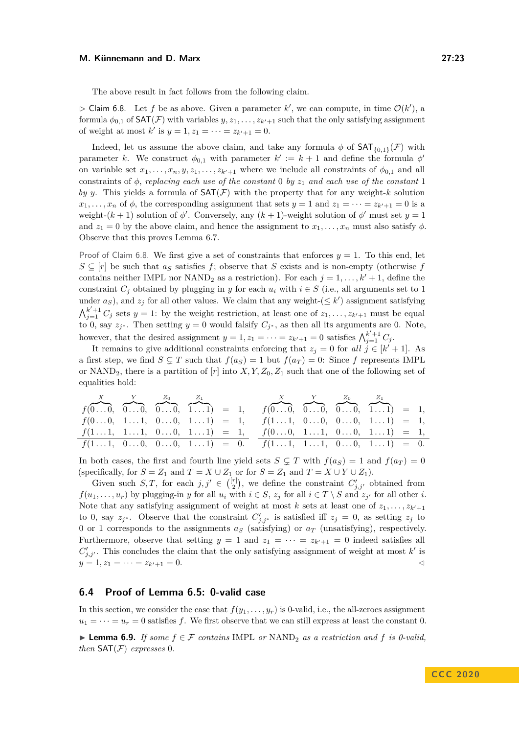The above result in fact follows from the following claim.

<span id="page-22-1"></span> $\triangleright$  Claim 6.8. Let f be as above. Given a parameter k', we can compute, in time  $\mathcal{O}(k')$ , a formula  $\phi_{0,1}$  of  $\text{SAT}(\mathcal{F})$  with variables  $y, z_1, \ldots, z_{k'+1}$  such that the only satisfying assignment of weight at most  $k'$  is  $y = 1, z_1 = \cdots = z_{k'+1} = 0$ .

Indeed, let us assume the above claim, and take any formula  $\phi$  of  $SAT_{\{0,1\}}(\mathcal{F})$  with parameter *k*. We construct  $\phi_{0,1}$  with parameter  $k' := k + 1$  and define the formula  $\phi'$ on variable set  $x_1, \ldots, x_n, y, z_1, \ldots, z_{k'+1}$  where we include all constraints of  $\phi_{0,1}$  and all constraints of  $\phi$ , *replacing each use of the constant* 0 *by*  $z_1$  *and each use of the constant* 1 *by y*. This yields a formula of  $SAT(F)$  with the property that for any weight-*k* solution  $x_1, \ldots, x_n$  of  $\phi$ , the corresponding assignment that sets  $y = 1$  and  $z_1 = \cdots = z_{k'+1} = 0$  is a weight-( $k + 1$ ) solution of  $\phi'$ . Conversely, any  $(k + 1)$ -weight solution of  $\phi'$  must set  $y = 1$ and  $z_1 = 0$  by the above claim, and hence the assignment to  $x_1, \ldots, x_n$  must also satisfy  $\phi$ . Observe that this proves Lemma [6.7.](#page-21-2)

Proof of Claim [6.8.](#page-22-1) We first give a set of constraints that enforces  $y = 1$ . To this end, let  $S \subseteq [r]$  be such that  $a_S$  satisfies  $f$ ; observe that *S* exists and is non-empty (otherwise  $f$ contains neither IMPL nor NAND<sub>2</sub> as a restriction). For each  $j = 1, \ldots, k' + 1$ , define the constraint  $C_i$  obtained by plugging in *y* for each  $u_i$  with  $i \in S$  (i.e., all arguments set to 1 under  $a_S$ ), and  $z_j$  for all other values. We claim that any weight-( $\leq k'$ ) assignment satisfying  $\bigwedge_{j=1}^{k'+1} C_j$  sets  $y = 1$ : by the weight restriction, at least one of  $z_1, \ldots, z_{k'+1}$  must be equal to 0, say  $z_{j^*}$ . Then setting  $y = 0$  would falsify  $C_{j^*}$ , as then all its arguments are 0. Note, however, that the desired assignment  $y = 1, z_1 = \cdots = z_{k'+1} = 0$  satisfies  $\bigwedge_{j=1}^{k'+1} C_j$ .

It remains to give additional constraints enforcing that  $z_j = 0$  for all  $j \in [k' + 1]$ . As a first step, we find  $S \subsetneq T$  such that  $f(a_S) = 1$  but  $f(a_T) = 0$ : Since f represents IMPL or  $NAND<sub>2</sub>$ , there is a partition of  $[r]$  into *X, Y, Z*<sub>0</sub>, *Z*<sub>1</sub> such that one of the following set of equalities hold:

*f*( *X* z }| { 0 *. . .* 0*, Y* z }| { 0 *. . .* 0*, Z*<sup>0</sup> z }| { 0 *. . .* 0*, Z*<sup>1</sup> z }| { 1 *. . .* 1) = 1*, f*(0 *. . .* 0*,* 1 *. . .* 1*,* 0 *. . .* 0*,* 1 *. . .* 1) = 1*, f*(1 *. . .* 1*,* 1 *. . .* 1*,* 0 *. . .* 0*,* 1 *. . .* 1) = 1*, f*(1 *. . .* 1*,* 0 *. . .* 0*,* 0 *. . .* 0*,* 1 *. . .* 1) = 0*. f*( *X* z }| { 0 *. . .* 0*, Y* z }| { 0 *. . .* 0*, Z*<sup>0</sup> z }| { 0 *. . .* 0*, Z*<sup>1</sup> z }| { 1 *. . .* 1) = 1*, f*(1 *. . .* 1*,* 0 *. . .* 0*,* 0 *. . .* 0*,* 1 *. . .* 1) = 1*, f*(0 *. . .* 0*,* 1 *. . .* 1*,* 0 *. . .* 0*,* 1 *. . .* 1) = 1*, f*(1 *. . .* 1*,* 1 *. . .* 1*,* 0 *. . .* 0*,* 1 *. . .* 1) = 0*.*

In both cases, the first and fourth line yield sets  $S \subseteq T$  with  $f(a_S) = 1$  and  $f(a_T) = 0$ (specifically, for  $S = Z_1$  and  $T = X \cup Z_1$  or for  $S = Z_1$  and  $T = X \cup Y \cup Z_1$ ).

Given such *S*, *T*, for each  $j, j' \in \binom{[r]}{2}$ , we define the constraint  $C'_{j, j'}$  obtained from  $f(u_1, \ldots, u_r)$  by plugging-in *y* for all  $u_i$  with  $i \in S$ ,  $z_j$  for all  $i \in T \setminus S$  and  $z_{j'}$  for all other *i*. Note that any satisfying assignment of weight at most *k* sets at least one of  $z_1, \ldots, z_{k'+1}$ to 0, say  $z_j$ <sup>\*</sup>. Observe that the constraint  $C'_{j,j}$ <sup>\*</sup> is satisfied iff  $z_j = 0$ , as setting  $z_j$  to 0 or 1 corresponds to the assignments  $a<sub>S</sub>$  (satisfying) or  $a<sub>T</sub>$  (unsatisfying), respectively. Furthermore, observe that setting  $y = 1$  and  $z_1 = \cdots = z_{k'+1} = 0$  indeed satisfies all  $C'_{j,j'}$ . This concludes the claim that the only satisfying assignment of weight at most *k*' is  $y = 1, z_1 = \cdots = z_{k'+1} = 0.$ 

### <span id="page-22-0"></span>**6.4 Proof of Lemma [6.5:](#page-20-2) 0-valid case**

In this section, we consider the case that  $f(y_1, \ldots, y_r)$  is 0-valid, i.e., the all-zeroes assignment  $u_1 = \cdots = u_r = 0$  satisfies f. We first observe that we can still express at least the constant 0.

<span id="page-22-2"></span>► Lemma 6.9. If some  $f \in \mathcal{F}$  contains IMPL or NAND<sub>2</sub> as a restriction and f is 0-valid, *then*  $SAT(F)$  *expresses* 0*.*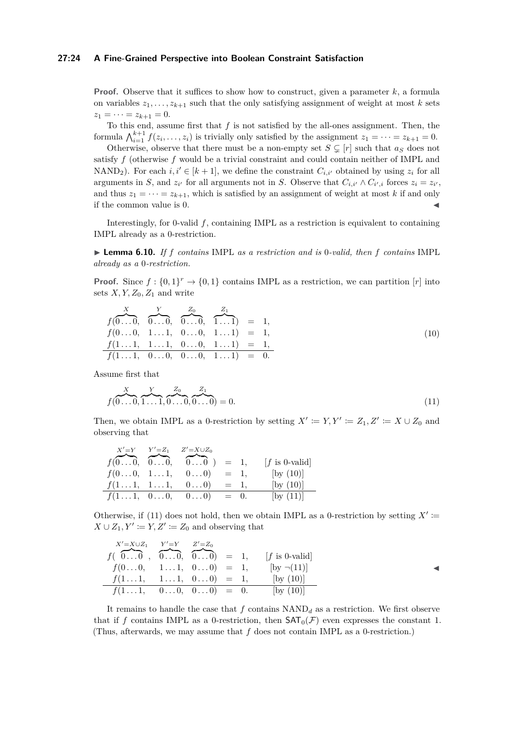### **27:24 A Fine-Grained Perspective into Boolean Constraint Satisfaction**

**Proof.** Observe that it suffices to show how to construct, given a parameter k, a formula on variables  $z_1, \ldots, z_{k+1}$  such that the only satisfying assignment of weight at most *k* sets  $z_1 = \cdots = z_{k+1} = 0.$ 

To this end, assume first that *f* is not satisfied by the all-ones assignment. Then, the formula  $\bigwedge_{i=1}^{k+1} f(z_i, \ldots, z_i)$  is trivially only satisfied by the assignment  $z_1 = \cdots = z_{k+1} = 0$ .

Otherwise, observe that there must be a non-empty set  $S \subseteq [r]$  such that  $a_S$  does not satisfy *f* (otherwise *f* would be a trivial constraint and could contain neither of IMPL and NAND<sub>2</sub>). For each  $i, i' \in [k+1]$ , we define the constraint  $C_{i,i'}$  obtained by using  $z_i$  for all arguments in *S*, and  $z_i$  for all arguments not in *S*. Observe that  $C_{i,i'} \wedge C_{i',i}$  forces  $z_i = z_{i'}$ , and thus  $z_1 = \cdots = z_{k+1}$ , which is satisfied by an assignment of weight at most k if and only if the common value is 0.

Interestingly, for 0-valid *f*, containing IMPL as a restriction is equivalent to containing IMPL already as a 0-restriction.

<span id="page-23-2"></span>I **Lemma 6.10.** *If f contains* IMPL *as a restriction and is* 0*-valid, then f contains* IMPL *already as a* 0*-restriction.*

**Proof.** Since  $f : \{0,1\}^r \to \{0,1\}$  contains IMPL as a restriction, we can partition [*r*] into sets  $X, Y, Z_0, Z_1$  and write

<span id="page-23-0"></span>
$$
f(0...0, \t 0...0, \t 0...0, \t 0...0, \t 1...1) = 1,
$$
  
\n
$$
f(0...0, \t 1...1, \t 0...0, \t 1...1) = 1,
$$
  
\n
$$
f(1...1, \t 1...1, \t 0...0, \t 1...1) = 1,
$$
  
\n
$$
f(1...1, \t 0...0, \t 0...0, \t 1...1) = 0.
$$
\n(10)

Assume first that

<span id="page-23-1"></span>
$$
f(\overbrace{0\ldots 0}^{X}, \overbrace{1\ldots 1}^{Y}, \overbrace{0\ldots 0}^{Z_0}, \overbrace{0\ldots 0}^{Z_1}) = 0.
$$
\n(11)

Then, we obtain IMPL as a 0-restriction by setting  $X' \coloneqq Y, Y' \coloneqq Z_1, Z' \coloneqq X \cup Z_0$  and observing that

|                                         | $X'=Y$ $Y'=Z_1$ $Z'=X\cup Z_0$                             |        |                 |
|-----------------------------------------|------------------------------------------------------------|--------|-----------------|
|                                         | $f(\overbrace{00}$ , $\overbrace{00}$ , $\overbrace{00}$ ) | $=$ 1, | $[f$ is 0-valid |
| f(00, 11, 00)                           |                                                            | $=$ 1, | [by $(10)$ ]    |
| $f(1 \ldots 1, 1 \ldots 1, 0 \ldots 0)$ |                                                            | $=$ 1, | [by $(10)$ ]    |
| $f(1 \ldots 1, 0 \ldots 0, 0 \ldots 0)$ |                                                            | $= 0.$ | $[$ by $(11)]$  |

Otherwise, if [\(11\)](#page-23-1) does not hold, then we obtain IMPL as a 0-restriction by setting  $X' :=$  $X \cup Z_1, Y' \coloneqq Y, Z' \coloneqq Z_0$  and observing that

| $X' = X \cup Z_1$ $Y' = Y$ $Z' = Z_0$                                                  |  |  |                        |  |
|----------------------------------------------------------------------------------------|--|--|------------------------|--|
| $f($ $\overbrace{00}^{\infty}, \overbrace{00}^{\infty}, \overbrace{00}^{\infty}) = 1,$ |  |  | $\lfloor f$ is 0-valid |  |
| $f(00, 11, 00) = 1,$                                                                   |  |  | $ {\rm bv} \neg (11) $ |  |
| $f(1 \ldots 1, \quad 1 \ldots 1, \quad 0 \ldots 0) = 1,$                               |  |  | $ {\rm bv} (10) $      |  |
| $f(1 \ldots 1, \quad 0 \ldots 0, \quad 0 \ldots 0) = 0.$                               |  |  | $[$ by $(10)]$         |  |

<span id="page-23-3"></span>It remains to handle the case that  $f$  contains  $NAND_d$  as a restriction. We first observe that if *f* contains IMPL as a 0-restriction, then  $SAT_0(\mathcal{F})$  even expresses the constant 1. (Thus, afterwards, we may assume that *f* does not contain IMPL as a 0-restriction.)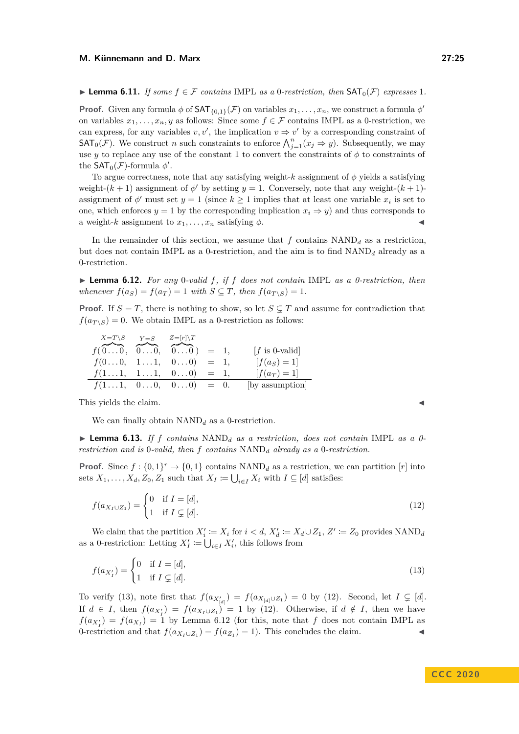**Proof.** Given any formula  $\phi$  of  $SAT_{\{0,1\}}(\mathcal{F})$  on variables  $x_1, \ldots, x_n$ , we construct a formula  $\phi'$ on variables  $x_1, \ldots, x_n, y$  as follows: Since some  $f \in \mathcal{F}$  contains IMPL as a 0-restriction, we can express, for any variables  $v, v'$ , the implication  $v \Rightarrow v'$  by a corresponding constraint of SAT<sub>0</sub>(F). We construct *n* such constraints to enforce  $\bigwedge_{j=1}^{n} (x_j \Rightarrow y)$ . Subsequently, we may use *y* to replace any use of the constant 1 to convert the constraints of  $\phi$  to constraints of the  $\mathsf{SAT}_0(\mathcal{F})$ -formula  $\phi'$ .

To argue correctness, note that any satisfying weight-*k* assignment of *φ* yields a satisfying weight- $(k + 1)$  assignment of  $\phi'$  by setting  $y = 1$ . Conversely, note that any weight- $(k + 1)$ assignment of  $\phi'$  must set  $y = 1$  (since  $k \ge 1$  implies that at least one variable  $x_i$  is set to one, which enforces  $y = 1$  by the corresponding implication  $x_i \Rightarrow y$  and thus corresponds to a weight-*k* assignment to  $x_1, \ldots, x_n$  satisfying  $\phi$ .

In the remainder of this section, we assume that  $f$  contains  $NAND_d$  as a restriction, but does not contain IMPL as a 0-restriction, and the aim is to find  $NAND<sub>d</sub>$  already as a 0-restriction.

<span id="page-24-2"></span>I **Lemma 6.12.** *For any* 0*-valid f, if f does not contain* IMPL *as a 0-restriction, then whenever*  $f(a_S) = f(a_T) = 1$  *with*  $S \subseteq T$ *, then*  $f(a_{T \setminus S}) = 1$ *.* 

**Proof.** If  $S = T$ , there is nothing to show, so let  $S \subsetneq T$  and assume for contradiction that  $f(a_{T\setminus S}) = 0$ . We obtain IMPL as a 0-restriction as follows:

$$
f(0...0, \underbrace{0...0}_{f(1...1, 1...1, 0...0}_{f(1...1, 1...1, 0...0}) = 1, [f is 0-\n 1, [f is 0-\n 1, [f(aS) = 1]\n 1, [f(aS) = 1]\n 1, [f(aS) = 1]\n 1, [f(aT) = 1]\n 1, [f(aT) = 1]\n 1, [f(aT) = 1]\n 1, [f(aT) = 1]
$$

This yields the claim.

We can finally obtain  $NAND_d$  as a 0-restriction.

<span id="page-24-3"></span>I **Lemma 6.13.** *If f contains* NAND*<sup>d</sup> as a restriction, does not contain* IMPL *as a 0 restriction and is* 0*-valid, then f contains* NAND*<sup>d</sup> already as a* 0*-restriction.*

**Proof.** Since  $f : \{0,1\}^r \to \{0,1\}$  contains  $NAND_d$  as a restriction, we can partition [*r*] into sets  $X_1, \ldots, X_d, Z_0, Z_1$  such that  $X_I \coloneqq \bigcup_{i \in I} X_i$  with  $I \subseteq [d]$  satisfies:

$$
f(a_{X_I \cup Z_1}) = \begin{cases} 0 & \text{if } I = [d], \\ 1 & \text{if } I \subsetneq [d]. \end{cases}
$$
 (12)

We claim that the partition  $X'_i := X_i$  for  $i < d$ ,  $X'_d := X_d \cup Z_1$ ,  $Z' := Z_0$  provides NAND<sub>d</sub> as a 0-restriction: Letting  $X'_I := \bigcup_{i \in I} X'_i$ , this follows from

$$
f(a_{X'_I}) = \begin{cases} 0 & \text{if } I = [d], \\ 1 & \text{if } I \subsetneq [d]. \end{cases}
$$
 (13)

To verify [\(13\)](#page-24-0), note first that  $f(a_{X'_{[d]}}) = f(a_{X_{[d]}\cup Z_1}) = 0$  by [\(12\)](#page-24-1). Second, let  $I \subsetneq [d]$ . If  $d \in I$ , then  $f(a_{X'_I}) = f(a_{X_I \cup Z_1}) = 1$  by [\(12\)](#page-24-1). Otherwise, if  $d \notin I$ , then we have  $f(a_{X'_I}) = f(a_{X_I}) = 1$  by Lemma [6.12](#page-24-2) (for this, note that *f* does not contain IMPL as 0-restriction and that  $f(a_{X_I \cup Z_1}) = f(a_{Z_1}) = 1$ . This concludes the claim.

<span id="page-24-1"></span><span id="page-24-0"></span>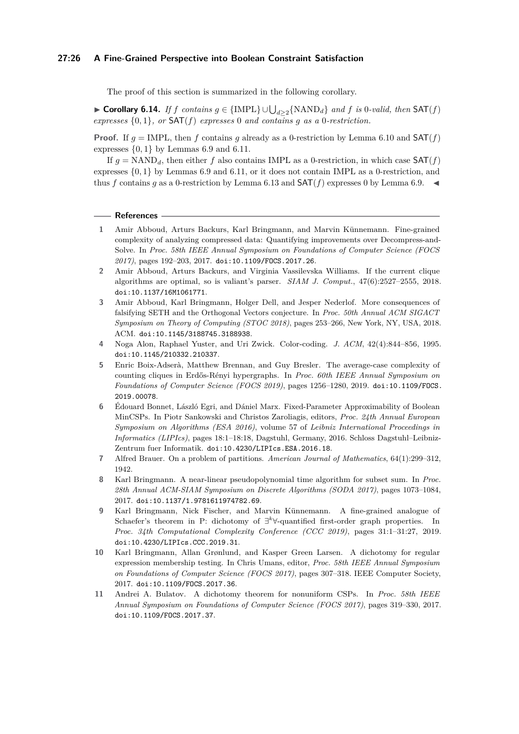### **27:26 A Fine-Grained Perspective into Boolean Constraint Satisfaction**

The proof of this section is summarized in the following corollary.

<span id="page-25-11"></span>► **Corollary 6.14.** *If*  $f$  *contains*  $g \in \{\text{IMPL}\} \cup \bigcup_{d \geq 2} \{\text{NAND}_d\}$  *and*  $f$  *is* 0*-valid, then*  $\text{SAT}(f)$ *expresses* {0*,* 1}*, or* SAT(*f*) *expresses* 0 *and contains g as a* 0*-restriction.*

**Proof.** If  $g = \text{IMPL}$ , then  $f$  contains  $g$  already as a 0-restriction by Lemma [6.10](#page-23-2) and  $\text{SAT}(f)$ expresses {0*,* 1} by Lemmas [6.9](#page-22-2) and [6.11.](#page-23-3)

If  $g = \text{NAND}_d$ , then either f also contains IMPL as a 0-restriction, in which case  $\text{SAT}(f)$ expresses  $\{0,1\}$  by Lemmas [6.9](#page-22-2) and [6.11,](#page-23-3) or it does not contain IMPL as a 0-restriction, and thus *f* contains *g* as a 0-restriction by Lemma [6.13](#page-24-3) and  $SAT(f)$  expresses 0 by Lemma [6.9.](#page-22-2)

### **References**

- <span id="page-25-3"></span>**1** Amir Abboud, Arturs Backurs, Karl Bringmann, and Marvin Künnemann. Fine-grained complexity of analyzing compressed data: Quantifying improvements over Decompress-and-Solve. In *Proc. 58th IEEE Annual Symposium on Foundations of Computer Science (FOCS 2017)*, pages 192–203, 2017. [doi:10.1109/FOCS.2017.26](https://doi.org/10.1109/FOCS.2017.26).
- <span id="page-25-1"></span>**2** Amir Abboud, Arturs Backurs, and Virginia Vassilevska Williams. If the current clique algorithms are optimal, so is valiant's parser. *SIAM J. Comput.*, 47(6):2527–2555, 2018. [doi:10.1137/16M1061771](https://doi.org/10.1137/16M1061771).
- <span id="page-25-6"></span>**3** Amir Abboud, Karl Bringmann, Holger Dell, and Jesper Nederlof. More consequences of falsifying SETH and the Orthogonal Vectors conjecture. In *Proc. 50th Annual ACM SIGACT Symposium on Theory of Computing (STOC 2018)*, pages 253–266, New York, NY, USA, 2018. ACM. [doi:10.1145/3188745.3188938](https://doi.org/10.1145/3188745.3188938).
- <span id="page-25-10"></span>**4** Noga Alon, Raphael Yuster, and Uri Zwick. Color-coding. *J. ACM*, 42(4):844–856, 1995. [doi:10.1145/210332.210337](https://doi.org/10.1145/210332.210337).
- <span id="page-25-4"></span>**5** Enric Boix-Adserà, Matthew Brennan, and Guy Bresler. The average-case complexity of counting cliques in Erdős-Rényi hypergraphs. In *Proc. 60th IEEE Annual Symposium on Foundations of Computer Science (FOCS 2019)*, pages 1256–1280, 2019. [doi:10.1109/FOCS.](https://doi.org/10.1109/FOCS.2019.00078) [2019.00078](https://doi.org/10.1109/FOCS.2019.00078).
- <span id="page-25-9"></span>**6** Édouard Bonnet, László Egri, and Dániel Marx. Fixed-Parameter Approximability of Boolean MinCSPs. In Piotr Sankowski and Christos Zaroliagis, editors, *Proc. 24th Annual European Symposium on Algorithms (ESA 2016)*, volume 57 of *Leibniz International Proceedings in Informatics (LIPIcs)*, pages 18:1–18:18, Dagstuhl, Germany, 2016. Schloss Dagstuhl–Leibniz-Zentrum fuer Informatik. [doi:10.4230/LIPIcs.ESA.2016.18](https://doi.org/10.4230/LIPIcs.ESA.2016.18).
- <span id="page-25-7"></span>**7** Alfred Brauer. On a problem of partitions. *American Journal of Mathematics*, 64(1):299–312, 1942.
- <span id="page-25-0"></span>**8** Karl Bringmann. A near-linear pseudopolynomial time algorithm for subset sum. In *Proc. 28th Annual ACM-SIAM Symposium on Discrete Algorithms (SODA 2017)*, pages 1073–1084, 2017. [doi:10.1137/1.9781611974782.69](https://doi.org/10.1137/1.9781611974782.69).
- <span id="page-25-5"></span>**9** Karl Bringmann, Nick Fischer, and Marvin Künnemann. A fine-grained analogue of Schaefer's theorem in P: dichotomy of ∃<sup>k</sup>∀-quantified first-order graph properties. In *Proc. 34th Computational Complexity Conference (CCC 2019)*, pages 31:1–31:27, 2019. [doi:10.4230/LIPIcs.CCC.2019.31](https://doi.org/10.4230/LIPIcs.CCC.2019.31).
- <span id="page-25-2"></span>**10** Karl Bringmann, Allan Grønlund, and Kasper Green Larsen. A dichotomy for regular expression membership testing. In Chris Umans, editor, *Proc. 58th IEEE Annual Symposium on Foundations of Computer Science (FOCS 2017)*, pages 307–318. IEEE Computer Society, 2017. [doi:10.1109/FOCS.2017.36](https://doi.org/10.1109/FOCS.2017.36).
- <span id="page-25-8"></span>**11** Andrei A. Bulatov. A dichotomy theorem for nonuniform CSPs. In *Proc. 58th IEEE Annual Symposium on Foundations of Computer Science (FOCS 2017)*, pages 319–330, 2017. [doi:10.1109/FOCS.2017.37](https://doi.org/10.1109/FOCS.2017.37).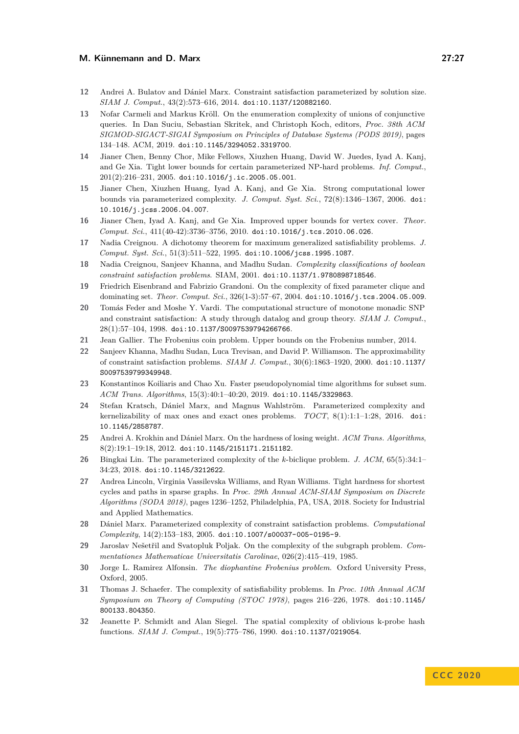- <span id="page-26-15"></span>**12** Andrei A. Bulatov and Dániel Marx. Constraint satisfaction parameterized by solution size. *SIAM J. Comput.*, 43(2):573–616, 2014. [doi:10.1137/120882160](https://doi.org/10.1137/120882160).
- <span id="page-26-5"></span>**13** Nofar Carmeli and Markus Kröll. On the enumeration complexity of unions of conjunctive queries. In Dan Suciu, Sebastian Skritek, and Christoph Koch, editors, *Proc. 38th ACM SIGMOD-SIGACT-SIGAI Symposium on Principles of Database Systems (PODS 2019)*, pages 134–148. ACM, 2019. [doi:10.1145/3294052.3319700](https://doi.org/10.1145/3294052.3319700).
- <span id="page-26-6"></span>**14** Jianer Chen, Benny Chor, Mike Fellows, Xiuzhen Huang, David W. Juedes, Iyad A. Kanj, and Ge Xia. Tight lower bounds for certain parameterized NP-hard problems. *Inf. Comput.*,  $201(2):216-231, 2005.$ [doi:10.1016/j.ic.2005.05.001](https://doi.org/10.1016/j.ic.2005.05.001).
- <span id="page-26-7"></span>**15** Jianer Chen, Xiuzhen Huang, Iyad A. Kanj, and Ge Xia. Strong computational lower bounds via parameterized complexity. *J. Comput. Syst. Sci.*, 72(8):1346–1367, 2006. [doi:](https://doi.org/10.1016/j.jcss.2006.04.007) [10.1016/j.jcss.2006.04.007](https://doi.org/10.1016/j.jcss.2006.04.007).
- <span id="page-26-0"></span>**16** Jianer Chen, Iyad A. Kanj, and Ge Xia. Improved upper bounds for vertex cover. *Theor. Comput. Sci.*, 411(40-42):3736–3756, 2010. [doi:10.1016/j.tcs.2010.06.026](https://doi.org/10.1016/j.tcs.2010.06.026).
- <span id="page-26-13"></span>**17** Nadia Creignou. A dichotomy theorem for maximum generalized satisfiability problems. *J. Comput. Syst. Sci.*, 51(3):511–522, 1995. [doi:10.1006/jcss.1995.1087](https://doi.org/10.1006/jcss.1995.1087).
- <span id="page-26-12"></span>**18** Nadia Creignou, Sanjeev Khanna, and Madhu Sudan. *Complexity classifications of boolean constraint satisfaction problems*. SIAM, 2001. [doi:10.1137/1.9780898718546](https://doi.org/10.1137/1.9780898718546).
- <span id="page-26-19"></span>**19** Friedrich Eisenbrand and Fabrizio Grandoni. On the complexity of fixed parameter clique and dominating set. *Theor. Comput. Sci.*, 326(1-3):57–67, 2004. [doi:10.1016/j.tcs.2004.05.009](https://doi.org/10.1016/j.tcs.2004.05.009).
- <span id="page-26-11"></span>**20** Tomás Feder and Moshe Y. Vardi. The computational structure of monotone monadic SNP and constraint satisfaction: A study through datalog and group theory. *SIAM J. Comput.*, 28(1):57–104, 1998. [doi:10.1137/S0097539794266766](https://doi.org/10.1137/S0097539794266766).
- <span id="page-26-9"></span>**21** Jean Gallier. The Frobenius coin problem. Upper bounds on the Frobenius number, 2014.
- <span id="page-26-14"></span>**22** Sanjeev Khanna, Madhu Sudan, Luca Trevisan, and David P. Williamson. The approximability of constraint satisfaction problems. *SIAM J. Comput.*, 30(6):1863–1920, 2000. [doi:10.1137/](https://doi.org/10.1137/S0097539799349948) [S0097539799349948](https://doi.org/10.1137/S0097539799349948).
- <span id="page-26-3"></span>**23** Konstantinos Koiliaris and Chao Xu. Faster pseudopolynomial time algorithms for subset sum. *ACM Trans. Algorithms*, 15(3):40:1–40:20, 2019. [doi:10.1145/3329863](https://doi.org/10.1145/3329863).
- <span id="page-26-17"></span>**24** Stefan Kratsch, Dániel Marx, and Magnus Wahlström. Parameterized complexity and kernelizability of max ones and exact ones problems. *TOCT*, 8(1):1:1–1:28, 2016. [doi:](https://doi.org/10.1145/2858787) [10.1145/2858787](https://doi.org/10.1145/2858787).
- <span id="page-26-18"></span>**25** Andrei A. Krokhin and Dániel Marx. On the hardness of losing weight. *ACM Trans. Algorithms*, 8(2):19:1–19:18, 2012. [doi:10.1145/2151171.2151182](https://doi.org/10.1145/2151171.2151182).
- <span id="page-26-16"></span>**26** Bingkai Lin. The parameterized complexity of the *k*-biclique problem. *J. ACM*, 65(5):34:1– 34:23, 2018. [doi:10.1145/3212622](https://doi.org/10.1145/3212622).
- <span id="page-26-4"></span>**27** Andrea Lincoln, Virginia Vassilevska Williams, and Ryan Williams. Tight hardness for shortest cycles and paths in sparse graphs. In *Proc. 29th Annual ACM-SIAM Symposium on Discrete Algorithms (SODA 2018)*, pages 1236–1252, Philadelphia, PA, USA, 2018. Society for Industrial and Applied Mathematics.
- <span id="page-26-2"></span>**28** Dániel Marx. Parameterized complexity of constraint satisfaction problems. *Computational Complexity*, 14(2):153–183, 2005. [doi:10.1007/s00037-005-0195-9](https://doi.org/10.1007/s00037-005-0195-9).
- <span id="page-26-1"></span>**29** Jaroslav Nešetřil and Svatopluk Poljak. On the complexity of the subgraph problem. *Commentationes Mathematicae Universitatis Carolinae*, 026(2):415–419, 1985.
- <span id="page-26-8"></span>**30** Jorge L. Ramirez Alfonsin. *The diophantine Frobenius problem*. Oxford University Press, Oxford, 2005.
- <span id="page-26-10"></span>**31** Thomas J. Schaefer. The complexity of satisfiability problems. In *Proc. 10th Annual ACM Symposium on Theory of Computing (STOC 1978)*, pages 216–226, 1978. [doi:10.1145/](https://doi.org/10.1145/800133.804350) [800133.804350](https://doi.org/10.1145/800133.804350).
- <span id="page-26-20"></span>**32** Jeanette P. Schmidt and Alan Siegel. The spatial complexity of oblivious k-probe hash functions. *SIAM J. Comput.*, 19(5):775–786, 1990. [doi:10.1137/0219054](https://doi.org/10.1137/0219054).